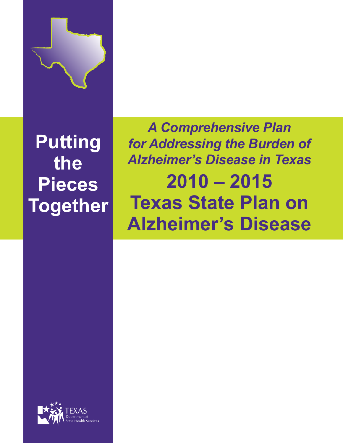

**Putting the Pieces Together**

*A Comprehensive Plan for Addressing the Burden of Alzheimer's Disease in Texas* **2010 – 2015 Texas State Plan on Alzheimer's Disease**

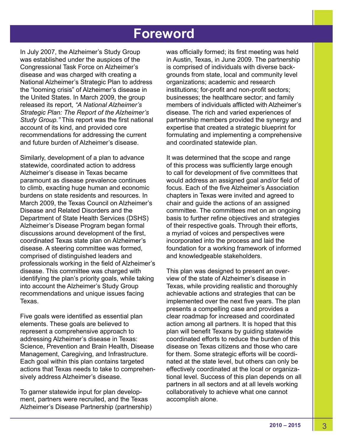# **Foreword**

In July 2007, the Alzheimer's Study Group was established under the auspices of the Congressional Task Force on Alzheimer's disease and was charged with creating a National Alzheimer's Strategic Plan to address the "looming crisis" of Alzheimer's disease in the United States. In March 2009, the group released its report, *"A National Alzheimer's Strategic Plan: The Report of the Alzheimer's Study Group."* This report was the first national account of its kind, and provided core recommendations for addressing the current and future burden of Alzheimer's disease.

Similarly, development of a plan to advance statewide, coordinated action to address Alzheimer's disease in Texas became paramount as disease prevalence continues to climb, exacting huge human and economic burdens on state residents and resources. In March 2009, the Texas Council on Alzheimer's Disease and Related Disorders and the Department of State Health Services (DSHS) Alzheimer's Disease Program began formal discussions around development of the first, coordinated Texas state plan on Alzheimer's disease. A steering committee was formed, comprised of distinguished leaders and professionals working in the field of Alzheimer's disease. This committee was charged with identifying the plan's priority goals, while taking into account the Alzheimer's Study Group recommendations and unique issues facing Texas.

Five goals were identified as essential plan elements. These goals are believed to represent a comprehensive approach to addressing Alzheimer's disease in Texas: Science, Prevention and Brain Health, Disease Management, Caregiving, and Infrastructure. Each goal within this plan contains targeted actions that Texas needs to take to comprehensively address Alzheimer's disease.

To garner statewide input for plan development, partners were recruited, and the Texas Alzheimer's Disease Partnership (partnership) was officially formed; its first meeting was held in Austin, Texas, in June 2009. The partnership is comprised of individuals with diverse backgrounds from state, local and community level organizations; academic and research institutions; for-profit and non-profit sectors; businesses; the healthcare sector; and family members of individuals afflicted with Alzheimer's disease. The rich and varied experiences of partnership members provided the synergy and expertise that created a strategic blueprint for formulating and implementing a comprehensive and coordinated statewide plan.

It was determined that the scope and range of this process was sufficiently large enough to call for development of five committees that would address an assigned goal and/or field of focus. Each of the five Alzheimer's Association chapters in Texas were invited and agreed to chair and guide the actions of an assigned committee. The committees met on an ongoing basis to further refine objectives and strategies of their respective goals. Through their efforts, a myriad of voices and perspectives were incorporated into the process and laid the foundation for a working framework of informed and knowledgeable stakeholders.

This plan was designed to present an overview of the state of Alzheimer's disease in Texas, while providing realistic and thoroughly achievable actions and strategies that can be implemented over the next five years. The plan presents a compelling case and provides a clear roadmap for increased and coordinated action among all partners. It is hoped that this plan will benefit Texans by guiding statewide coordinated efforts to reduce the burden of this disease on Texas citizens and those who care for them. Some strategic efforts will be coordinated at the state level, but others can only be effectively coordinated at the local or organizational level. Success of this plan depends on all partners in all sectors and at all levels working collaboratively to achieve what one cannot accomplish alone.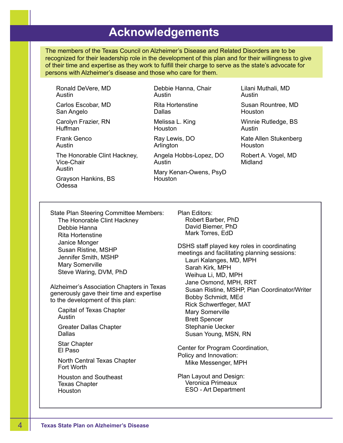# **Acknowledgements**

The members of the Texas Council on Alzheimer's Disease and Related Disorders are to be recognized for their leadership role in the development of this plan and for their willingness to give of their time and expertise as they work to fulfill their charge to serve as the state's advocate for persons with Alzheimer's disease and those who care for them.

Ronald DeVere, MD Austin

Carlos Escobar, MD San Angelo

Carolyn Frazier, RN Huffman

Frank Genco Austin

The Honorable Clint Hackney, Vice-Chair Austin

Grayson Hankins, BS Odessa

Debbie Hanna, Chair Austin Rita Hortenstine

**Dallas** Melissa L. King

**Houston** 

Ray Lewis, DO Arlington

Angela Hobbs-Lopez, DO Austin

Mary Kenan-Owens, PsyD Houston

Lilani Muthali, MD Austin

Susan Rountree, MD Houston

Winnie Rutledge, BS Austin

Kate Allen Stukenberg Houston

Robert A. Vogel, MD Midland

State Plan Steering Committee Members: The Honorable Clint Hackney Debbie Hanna Rita Hortenstine Janice Monger Susan Ristine, MSHP Jennifer Smith, MSHP Mary Somerville Steve Waring, DVM, PhD

Alzheimer's Association Chapters in Texas generously gave their time and expertise to the development of this plan:

Capital of Texas Chapter Austin

Greater Dallas Chapter Dallas

Star Chapter El Paso

North Central Texas Chapter Fort Worth

Houston and Southeast Texas Chapter Houston

Plan Editors: Robert Barber, PhD David Biemer, PhD Mark Torres, EdD

DSHS staff played key roles in coordinating meetings and facilitating planning sessions: Lauri Kalanges, MD, MPH Sarah Kirk, MPH Weihua Li, MD, MPH Jane Osmond, MPH, RRT Susan Ristine, MSHP, Plan Coordinator/Writer Bobby Schmidt, MEd Rick Schwertfeger, MAT Mary Somerville Brett Spencer Stephanie Uecker Susan Young, MSN, RN

Center for Program Coordination, Policy and Innovation: Mike Messenger, MPH

Plan Layout and Design: Veronica Primeaux ESO - Art Department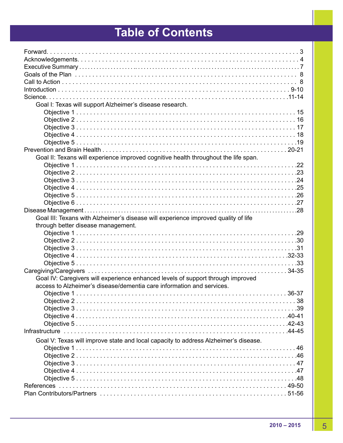# **Table of Contents**

| Goal I: Texas will support Alzheimer's disease research.                            |
|-------------------------------------------------------------------------------------|
|                                                                                     |
|                                                                                     |
|                                                                                     |
|                                                                                     |
|                                                                                     |
|                                                                                     |
| Goal II: Texans will experience improved cognitive health throughout the life span. |
|                                                                                     |
|                                                                                     |
|                                                                                     |
|                                                                                     |
|                                                                                     |
|                                                                                     |
|                                                                                     |
|                                                                                     |
| Goal III: Texans with Alzheimer's disease will experience improved quality of life  |
| through better disease management.                                                  |
|                                                                                     |
|                                                                                     |
|                                                                                     |
|                                                                                     |
|                                                                                     |
|                                                                                     |
| Goal IV: Caregivers will experience enhanced levels of support through improved     |
| access to Alzheimer's disease/dementia care information and services.               |
|                                                                                     |
|                                                                                     |
|                                                                                     |
|                                                                                     |
|                                                                                     |
|                                                                                     |
| Goal V: Texas will improve state and local capacity to address Alzheimer's disease. |
|                                                                                     |
|                                                                                     |
|                                                                                     |
|                                                                                     |
|                                                                                     |
|                                                                                     |
|                                                                                     |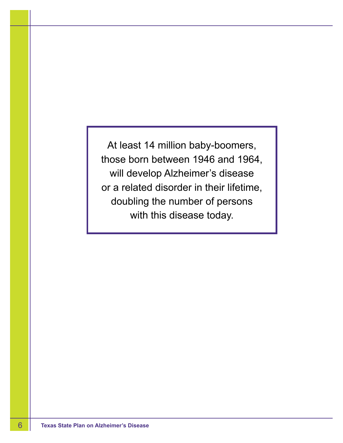At least 14 million baby-boomers, those born between 1946 and 1964, will develop Alzheimer's disease or a related disorder in their lifetime, doubling the number of persons with this disease today.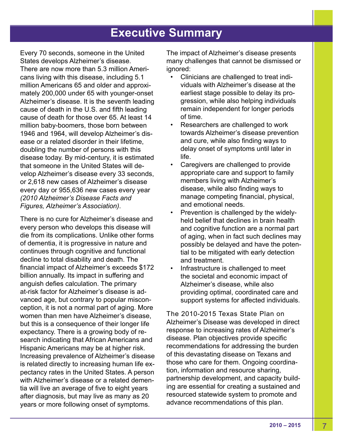# **Executive Summary**

Every 70 seconds, someone in the United States develops Alzheimer's disease. There are now more than 5.3 million Americans living with this disease, including 5.1 million Americans 65 and older and approximately 200,000 under 65 with younger-onset Alzheimer's disease. It is the seventh leading cause of death in the U.S. and fifth leading cause of death for those over 65. At least 14 million baby-boomers, those born between 1946 and 1964, will develop Alzheimer's disease or a related disorder in their lifetime, doubling the number of persons with this disease today. By mid-century, it is estimated that someone in the United States will develop Alzheimer's disease every 33 seconds, or 2,618 new cases of Alzheimer's disease every day or 955,636 new cases every year *(2010 Alzheimer's Disease Facts and Figures, Alzheimer's Association)*.

There is no cure for Alzheimer's disease and every person who develops this disease will die from its complications. Unlike other forms of dementia, it is progressive in nature and continues through cognitive and functional decline to total disability and death. The financial impact of Alzheimer's exceeds \$172 billion annually. Its impact in suffering and anguish defies calculation. The primary at-risk factor for Alzheimer's disease is advanced age, but contrary to popular misconception, it is not a normal part of aging. More women than men have Alzheimer's disease, but this is a consequence of their longer life expectancy. There is a growing body of research indicating that African Americans and Hispanic Americans may be at higher risk. Increasing prevalence of Alzheimer's disease is related directly to increasing human life expectancy rates in the United States. A person with Alzheimer's disease or a related dementia will live an average of five to eight years after diagnosis, but may live as many as 20 years or more following onset of symptoms.

The impact of Alzheimer's disease presents many challenges that cannot be dismissed or ignored:

- Clinicians are challenged to treat individuals with Alzheimer's disease at the earliest stage possible to delay its progression, while also helping individuals remain independent for longer periods of time.
- Researchers are challenged to work towards Alzheimer's disease prevention and cure, while also finding ways to delay onset of symptoms until later in life.
- Caregivers are challenged to provide appropriate care and support to family members living with Alzheimer's disease, while also finding ways to manage competing financial, physical, and emotional needs.
- Prevention is challenged by the widelyheld belief that declines in brain health and cognitive function are a normal part of aging, when in fact such declines may possibly be delayed and have the potential to be mitigated with early detection and treatment.
- Infrastructure is challenged to meet the societal and economic impact of Alzheimer's disease, while also providing optimal, coordinated care and support systems for affected individuals.

The 2010-2015 Texas State Plan on Alzheimer's Disease was developed in direct response to increasing rates of Alzheimer's disease. Plan objectives provide specific recommendations for addressing the burden of this devastating disease on Texans and those who care for them. Ongoing coordination, information and resource sharing, partnership development, and capacity building are essential for creating a sustained and resourced statewide system to promote and advance recommendations of this plan.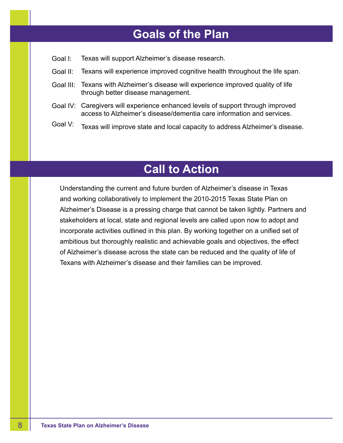# **Goals of the Plan**

- Goal I: Texas will support Alzheimer's disease research.
- Goal II: Texans will experience improved cognitive health throughout the life span.
- Goal III: Texans with Alzheimer's disease will experience improved quality of life through better disease management.
- Goal IV: Caregivers will experience enhanced levels of support through improved access to Alzheimer's disease/dementia care information and services.
- Goal V: Texas will improve state and local capacity to address Alzheimer's disease.

# **Call to Action**

Understanding the current and future burden of Alzheimer's disease in Texas and working collaboratively to implement the 2010-2015 Texas State Plan on Alzheimer's Disease is a pressing charge that cannot be taken lightly. Partners and stakeholders at local, state and regional levels are called upon now to adopt and incorporate activities outlined in this plan. By working together on a unified set of ambitious but thoroughly realistic and achievable goals and objectives, the effect of Alzheimer's disease across the state can be reduced and the quality of life of Texans with Alzheimer's disease and their families can be improved.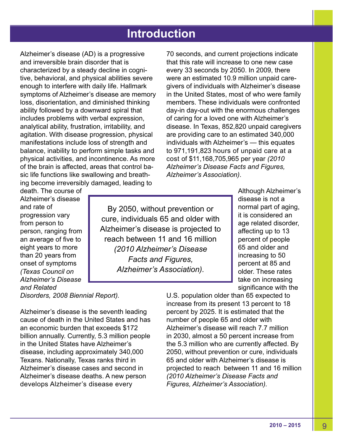# **Introduction**

Alzheimer's disease (AD) is a progressive and irreversible brain disorder that is characterized by a steady decline in cognitive, behavioral, and physical abilities severe enough to interfere with daily life. Hallmark symptoms of Alzheimer's disease are memory loss, disorientation, and diminished thinking ability followed by a downward spiral that includes problems with verbal expression, analytical ability, frustration, irritability, and agitation. With disease progression, physical manifestations include loss of strength and balance, inability to perform simple tasks and physical activities, and incontinence. As more of the brain is affected, areas that control basic life functions like swallowing and breathing become irreversibly damaged, leading to

70 seconds, and current projections indicate that this rate will increase to one new case every 33 seconds by 2050. In 2009, there were an estimated 10.9 million unpaid caregivers of individuals with Alzheimer's disease in the United States, most of who were family members. These individuals were confronted day-in day-out with the enormous challenges of caring for a loved one with Alzheimer's disease. In Texas, 852,820 unpaid caregivers are providing care to an estimated 340,000 individuals with Alzheimer's — this equates to 971,191,823 hours of unpaid care at a cost of \$11,168,705,965 per year *(2010 Alzheimer's Disease Facts and Figures, Alzheimer's Association)*.

death. The course of Alzheimer's disease and rate of progression vary from person to person, ranging from an average of five to eight years to more than 20 years from onset of symptoms *(Texas Council on Alzheimer's Disease and Related* 

By 2050, without prevention or cure, individuals 65 and older with Alzheimer's disease is projected to reach between 11 and 16 million *(2010 Alzheimer's Disease Facts and Figures, Alzheimer's Association).*

Although Alzheimer's disease is not a normal part of aging, it is considered an age related disorder, affecting up to 13 percent of people 65 and older and increasing to 50 percent at 85 and older. These rates take on increasing significance with the

*Disorders, 2008 Biennial Report).* 

Alzheimer's disease is the seventh leading cause of death in the United States and has an economic burden that exceeds \$172 billion annually. Currently, 5.3 million people in the United States have Alzheimer's disease, including approximately 340,000 Texans. Nationally, Texas ranks third in Alzheimer's disease cases and second in Alzheimer's disease deaths. A new person develops Alzheimer's disease every

U.S. population older than 65 expected to increase from its present 13 percent to 18 percent by 2025. It is estimated that the number of people 65 and older with Alzheimer's disease will reach 7.7 million in 2030, almost a 50 percent increase from the 5.3 million who are currently affected. By 2050, without prevention or cure, individuals 65 and older with Alzheimer's disease is projected to reach between 11 and 16 million *(2010 Alzheimer's Disease Facts and Figures, Alzheimer's Association).*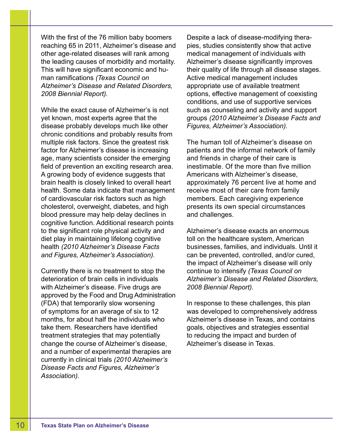With the first of the 76 million baby boomers reaching 65 in 2011, Alzheimer's disease and other age-related diseases will rank among the leading causes of morbidity and mortality. This will have significant economic and human ramifications *(Texas Council on Alzheimer's Disease and Related Disorders, 2008 Biennial Report).*

While the exact cause of Alzheimer's is not yet known, most experts agree that the disease probably develops much like other chronic conditions and probably results from multiple risk factors. Since the greatest risk factor for Alzheimer's disease is increasing age, many scientists consider the emerging field of prevention an exciting research area. A growing body of evidence suggests that brain health is closely linked to overall heart health. Some data indicate that management of cardiovascular risk factors such as high cholesterol, overweight, diabetes, and high blood pressure may help delay declines in cognitive function. Additional research points to the significant role physical activity and diet play in maintaining lifelong cognitive health *(2010 Alzheimer's Disease Facts and Figures, Alzheimer's Association).*

Currently there is no treatment to stop the deterioration of brain cells in individuals with Alzheimer's disease. Five drugs are approved by the Food and Drug Administration (FDA) that temporarily slow worsening of symptoms for an average of six to 12 months, for about half the individuals who take them. Researchers have identified treatment strategies that may potentially change the course of Alzheimer's disease, and a number of experimental therapies are currently in clinical trials *(2010 Alzheimer's Disease Facts and Figures, Alzheimer's Association).*

Despite a lack of disease-modifying therapies, studies consistently show that active medical management of individuals with Alzheimer's disease significantly improves their quality of life through all disease stages. Active medical management includes appropriate use of available treatment options, effective management of coexisting conditions, and use of supportive services such as counseling and activity and support groups *(2010 Alzheimer's Disease Facts and Figures, Alzheimer's Association).*

The human toll of Alzheimer's disease on patients and the informal network of family and friends in charge of their care is inestimable. Of the more than five million Americans with Alzheimer's disease, approximately 76 percent live at home and receive most of their care from family members. Each caregiving experience presents its own special circumstances and challenges.

Alzheimer's disease exacts an enormous toll on the healthcare system, American businesses, families, and individuals. Until it can be prevented, controlled, and/or cured, the impact of Alzheimer's disease will only continue to intensify *(Texas Council on Alzheimer's Disease and Related Disorders, 2008 Biennial Report).*

In response to these challenges, this plan was developed to comprehensively address Alzheimer's disease in Texas, and contains goals, objectives and strategies essential to reducing the impact and burden of Alzheimer's disease in Texas.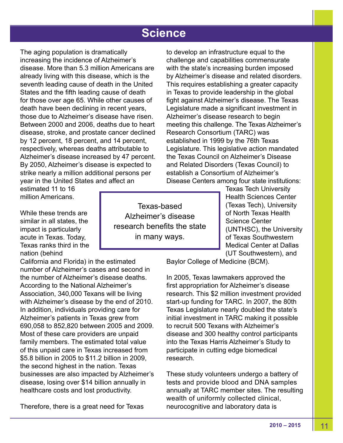# **Science**

The aging population is dramatically increasing the incidence of Alzheimer's disease. More than 5.3 million Americans are already living with this disease, which is the seventh leading cause of death in the United States and the fifth leading cause of death for those over age 65. While other causes of death have been declining in recent years, those due to Alzheimer's disease have risen. Between 2000 and 2006, deaths due to heart disease, stroke, and prostate cancer declined by 12 percent, 18 percent, and 14 percent, respectively, whereas deaths attributable to Alzheimer's disease increased by 47 percent. By 2050, Alzheimer's disease is expected to strike nearly a million additional persons per year in the United States and affect an

to develop an infrastructure equal to the challenge and capabilities commensurate with the state's increasing burden imposed by Alzheimer's disease and related disorders. This requires establishing a greater capacity in Texas to provide leadership in the global fight against Alzheimer's disease. The Texas Legislature made a significant investment in Alzheimer's disease research to begin meeting this challenge. The Texas Alzheimer's Research Consortium (TARC) was established in 1999 by the 76th Texas Legislature. This legislative action mandated the Texas Council on Alzheimer's Disease and Related Disorders (Texas Council) to establish a Consortium of Alzheimer's Disease Centers among four state institutions:

estimated 11 to 16 million Americans.

While these trends are similar in all states, the impact is particularly acute in Texas. Today, Texas ranks third in the nation (behind

California and Florida) in the estimated number of Alzheimer's cases and second in the number of Alzheimer's disease deaths. According to the National Alzheimer's Association, 340,000 Texans will be living with Alzheimer's disease by the end of 2010. In addition, individuals providing care for Alzheimer's patients in Texas grew from 690,058 to 852,820 between 2005 and 2009. Most of these care providers are unpaid family members. The estimated total value of this unpaid care in Texas increased from \$5.8 billion in 2005 to \$11.2 billion in 2009, the second highest in the nation. Texas businesses are also impacted by Alzheimer's disease, losing over \$14 billion annually in healthcare costs and lost productivity.

Therefore, there is a great need for Texas

Texas-based Alzheimer's disease research benefits the state in many ways.

Texas Tech University Health Sciences Center (Texas Tech), University of North Texas Health Science Center (UNTHSC), the University of Texas Southwestern Medical Center at Dallas (UT Southwestern), and

Baylor College of Medicine (BCM).

In 2005, Texas lawmakers approved the first appropriation for Alzheimer's disease research. This \$2 million investment provided start-up funding for TARC. In 2007, the 80th Texas Legislature nearly doubled the state's initial investment in TARC making it possible to recruit 500 Texans with Alzheimer's disease and 300 healthy control participants into the Texas Harris Alzheimer's Study to participate in cutting edge biomedical research.

These study volunteers undergo a battery of tests and provide blood and DNA samples annually at TARC member sites. The resulting wealth of uniformly collected clinical, neurocognitive and laboratory data is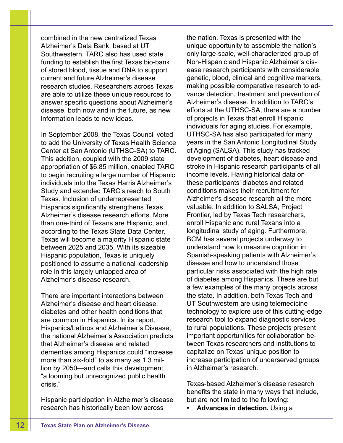combined in the new centralized Texas Alzheimer's Data Bank, based at UT Southwestern. TARC also has used state funding to establish the first Texas bio-bank of stored blood, tissue and DNA to support current and future Alzheimer's disease research studies. Researchers across Texas are able to utilize these unique resources to answer specific questions about Alzheimer's disease, both now and in the future, as new information leads to new ideas.

In September 2008, the Texas Council voted to add the University of Texas Health Science Center at San Antonio (UTHSC-SA) to TARC. This addition, coupled with the 2009 state appropriation of \$6.85 million, enabled TARC to begin recruiting a large number of Hispanic individuals into the Texas Harris Alzheimer's Study and extended TARC's reach to South Texas. Inclusion of underrepresented Hispanics significantly strengthens Texas Alzheimer's disease research efforts. More than one-third of Texans are Hispanic, and, according to the Texas State Data Center, Texas will become a majority Hispanic state between 2025 and 2035. With its sizeable Hispanic population, Texas is uniquely positioned to assume a national leadership role in this largely untapped area of Alzheimer's disease research.

There are important interactions between Alzheimer's disease and heart disease, diabetes and other health conditions that are common in Hispanics. In its report, Hispanics/Latinos and Alzheimer's Disease, the national Alzheimer's Association predicts that Alzheimer's disease and related dementias among Hispanics could "increase more than six-fold" to as many as 1.3 million by 2050—and calls this development "a looming but unrecognized public health crisis."

Hispanic participation in Alzheimer's disease research has historically been low across

the nation. Texas is presented with the unique opportunity to assemble the nation's only large-scale, well-characterized group of Non-Hispanic and Hispanic Alzheimer's disease research participants with considerable genetic, blood, clinical and cognitive markers, making possible comparative research to advance detection, treatment and prevention of Alzheimer's disease. In addition to TARC's efforts at the UTHSC-SA, there are a number of projects in Texas that enroll Hispanic individuals for aging studies. For example, UTHSC-SA has also participated for many years in the San Antonio Longitudinal Study of Aging (SALSA). This study has tracked development of diabetes, heart disease and stroke in Hispanic research participants of all income levels. Having historical data on these participants' diabetes and related conditions makes their recruitment for Alzheimer's disease research all the more valuable. In addition to SALSA, Project Frontier, led by Texas Tech researchers, enroll Hispanic and rural Texans into a longitudinal study of aging. Furthermore, BCM has several projects underway to understand how to measure cognition in Spanish-speaking patients with Alzheimer's disease and how to understand those particular risks associated with the high rate of diabetes among Hispanics. These are but a few examples of the many projects across the state. In addition, both Texas Tech and UT Southwestern are using telemedicine technology to explore use of this cutting-edge research tool to expand diagnostic services to rural populations. These projects present important opportunities for collaboration between Texas researchers and institutions to capitalize on Texas' unique position to increase participation of underserved groups in Alzheimer's research.

Texas-based Alzheimer's disease research benefits the state in many ways that include, but are not limited to the following:

**• Advances in detection.** Using a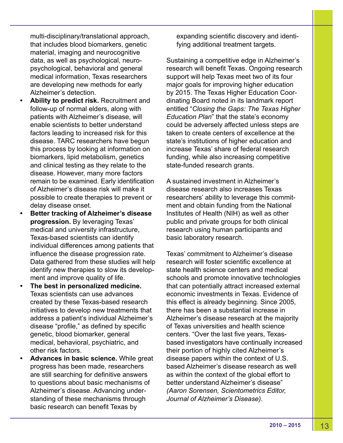multi-disciplinary/translational approach, that includes blood biomarkers, genetic material, imaging and neurocognitive data, as well as psychological, neuropsychological, behavioral and general medical information, Texas researchers are developing new methods for early Alzheimer's detection.

- **• Ability to predict risk.** Recruitment and follow-up of normal elders, along with patients with Alzheimer's disease, will enable scientists to better understand factors leading to increased risk for this disease. TARC researchers have begun this process by looking at information on biomarkers, lipid metabolism, genetics and clinical testing as they relate to the disease. However, many more factors remain to be examined. Early identification of Alzheimer's disease risk will make it possible to create therapies to prevent or delay disease onset.
- **• Better tracking of Alzheimer's disease progression.** By leveraging Texas' medical and university infrastructure, Texas-based scientists can identify individual differences among patients that influence the disease progression rate. Data gathered from these studies will help identify new therapies to slow its development and improve quality of life.
- **• The best in personalized medicine.** Texas scientists can use advances created by these Texas-based research initiatives to develop new treatments that address a patient's individual Alzheimer's disease "profile," as defined by specific genetic, blood biomarker, general medical, behavioral, psychiatric, and other risk factors.
- **• Advances in basic science.** While great progress has been made, researchers are still searching for definitive answers to questions about basic mechanisms of Alzheimer's disease. Advancing understanding of these mechanisms through basic research can benefit Texas by

expanding scientific discovery and identifying additional treatment targets.

Sustaining a competitive edge in Alzheimer's research will benefit Texas. Ongoing research support will help Texas meet two of its four major goals for improving higher education by 2015. The Texas Higher Education Coordinating Board noted in its landmark report entitled "*Closing the Gaps: The Texas Higher Education Plan*" that the state's economy could be adversely affected unless steps are taken to create centers of excellence at the state's institutions of higher education and increase Texas' share of federal research funding, while also increasing competitive state-funded research grants.

A sustained investment in Alzheimer's disease research also increases Texas researchers' ability to leverage this commitment and obtain funding from the National Institutes of Health (NIH) as well as other public and private groups for both clinical research using human participants and basic laboratory research.

Texas' commitment to Alzheimer's disease research will foster scientific excellence at state health science centers and medical schools and promote innovative technologies that can potentially attract increased external economic investments in Texas. Evidence of this effect is already beginning. Since 2005, there has been a substantial increase in Alzheimer's disease research at the majority of Texas universities and health science centers. "Over the last five years, Texasbased investigators have continually increased their portion of highly cited Alzheimer's disease papers within the context of U.S. based Alzheimer's disease research as well as within the context of the global effort to better understand Alzheimer's disease" *(Aaron Sorensen, Scientometrics Editor, Journal of Alzheimer's Disease).*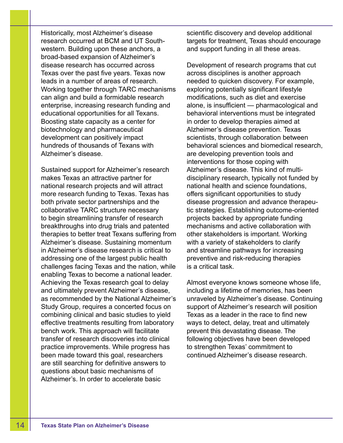Historically, most Alzheimer's disease research occurred at BCM and UT Southwestern. Building upon these anchors, a broad-based expansion of Alzheimer's disease research has occurred across Texas over the past five years. Texas now leads in a number of areas of research. Working together through TARC mechanisms can align and build a formidable research enterprise, increasing research funding and educational opportunities for all Texans. Boosting state capacity as a center for biotechnology and pharmaceutical development can positively impact hundreds of thousands of Texans with Alzheimer's disease.

Sustained support for Alzheimer's research makes Texas an attractive partner for national research projects and will attract more research funding to Texas. Texas has both private sector partnerships and the collaborative TARC structure necessary to begin streamlining transfer of research breakthroughs into drug trials and patented therapies to better treat Texans suffering from Alzheimer's disease. Sustaining momentum in Alzheimer's disease research is critical to addressing one of the largest public health challenges facing Texas and the nation, while enabling Texas to become a national leader. Achieving the Texas research goal to delay and ultimately prevent Alzheimer's disease, as recommended by the National Alzheimer's Study Group, requires a concerted focus on combining clinical and basic studies to yield effective treatments resulting from laboratory bench work. This approach will facilitate transfer of research discoveries into clinical practice improvements. While progress has been made toward this goal, researchers are still searching for definitive answers to questions about basic mechanisms of Alzheimer's. In order to accelerate basic

scientific discovery and develop additional targets for treatment, Texas should encourage and support funding in all these areas.

Development of research programs that cut across disciplines is another approach needed to quicken discovery. For example, exploring potentially significant lifestyle modifications, such as diet and exercise alone, is insufficient — pharmacological and behavioral interventions must be integrated in order to develop therapies aimed at Alzheimer's disease prevention. Texas scientists, through collaboration between behavioral sciences and biomedical research, are developing prevention tools and interventions for those coping with Alzheimer's disease. This kind of multidisciplinary research, typically not funded by national health and science foundations, offers significant opportunities to study disease progression and advance therapeutic strategies. Establishing outcome-oriented projects backed by appropriate funding mechanisms and active collaboration with other stakeholders is important. Working with a variety of stakeholders to clarify and streamline pathways for increasing preventive and risk-reducing therapies is a critical task.

Almost everyone knows someone whose life, including a lifetime of memories, has been unraveled by Alzheimer's disease. Continuing support of Alzheimer's research will position Texas as a leader in the race to find new ways to detect, delay, treat and ultimately prevent this devastating disease. The following objectives have been developed to strengthen Texas' commitment to continued Alzheimer's disease research.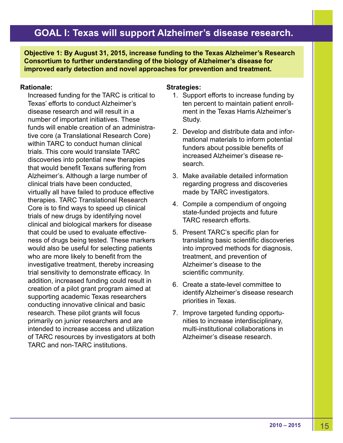**Objective 1: By August 31, 2015, increase funding to the Texas Alzheimer's Research Consortium to further understanding of the biology of Alzheimer's disease for improved early detection and novel approaches for prevention and treatment.**

# **Rationale:**

Increased funding for the TARC is critical to Texas' efforts to conduct Alzheimer's disease research and will result in a number of important initiatives. These funds will enable creation of an administrative core (a Translational Research Core) within TARC to conduct human clinical trials. This core would translate TARC discoveries into potential new therapies that would benefit Texans suffering from Alzheimer's. Although a large number of clinical trials have been conducted, virtually all have failed to produce effective therapies. TARC Translational Research Core is to find ways to speed up clinical trials of new drugs by identifying novel clinical and biological markers for disease that could be used to evaluate effectiveness of drugs being tested. These markers would also be useful for selecting patients who are more likely to benefit from the investigative treatment, thereby increasing trial sensitivity to demonstrate efficacy. In addition, increased funding could result in creation of a pilot grant program aimed at supporting academic Texas researchers conducting innovative clinical and basic research. These pilot grants will focus primarily on junior researchers and are intended to increase access and utilization of TARC resources by investigators at both TARC and non-TARC institutions.

- 1. Support efforts to increase funding by ten percent to maintain patient enrollment in the Texas Harris Alzheimer's Study.
- 2. Develop and distribute data and informational materials to inform potential funders about possible benefits of increased Alzheimer's disease research.
- 3. Make available detailed information regarding progress and discoveries made by TARC investigators.
- 4. Compile a compendium of ongoing state-funded projects and future TARC research efforts.
- 5. Present TARC's specific plan for translating basic scientific discoveries into improved methods for diagnosis, treatment, and prevention of Alzheimer's disease to the scientific community.
- 6. Create a state-level committee to identify Alzheimer's disease research priorities in Texas.
- 7. Improve targeted funding opportunities to increase interdisciplinary, multi-institutional collaborations in Alzheimer's disease research.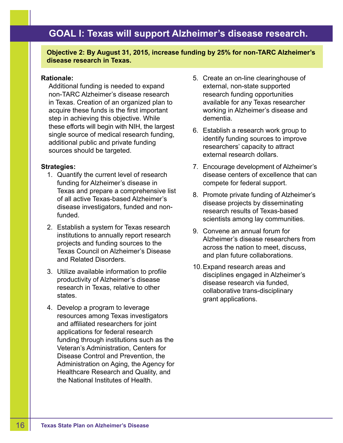**Objective 2: By August 31, 2015, increase funding by 25% for non-TARC Alzheimer's disease research in Texas.**

#### **Rationale:**

Additional funding is needed to expand non-TARC Alzheimer's disease research in Texas. Creation of an organized plan to acquire these funds is the first important step in achieving this objective. While these efforts will begin with NIH, the largest single source of medical research funding, additional public and private funding sources should be targeted.

- 1. Quantify the current level of research funding for Alzheimer's disease in Texas and prepare a comprehensive list of all active Texas-based Alzheimer's disease investigators, funded and nonfunded.
- 2. Establish a system for Texas research institutions to annually report research projects and funding sources to the Texas Council on Alzheimer's Disease and Related Disorders.
- 3. Utilize available information to profile productivity of Alzheimer's disease research in Texas, relative to other states.
- 4. Develop a program to leverage resources among Texas investigators and affiliated researchers for joint applications for federal research funding through institutions such as the Veteran's Administration, Centers for Disease Control and Prevention, the Administration on Aging, the Agency for Healthcare Research and Quality, and the National Institutes of Health.
- 5. Create an on-line clearinghouse of external, non-state supported research funding opportunities available for any Texas researcher working in Alzheimer's disease and dementia.
- 6. Establish a research work group to identify funding sources to improve researchers' capacity to attract external research dollars.
- 7. Encourage development of Alzheimer's disease centers of excellence that can compete for federal support.
- 8. Promote private funding of Alzheimer's disease projects by disseminating research results of Texas-based scientists among lay communities.
- 9. Convene an annual forum for Alzheimer's disease researchers from across the nation to meet, discuss, and plan future collaborations.
- 10.Expand research areas and disciplines engaged in Alzheimer's disease research via funded, collaborative trans-disciplinary grant applications.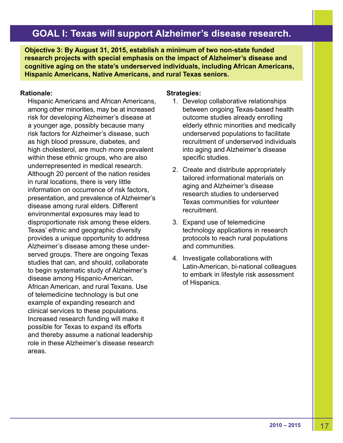**Objective 3: By August 31, 2015, establish a minimum of two non-state funded research projects with special emphasis on the impact of Alzheimer's disease and cognitive aging on the state's underserved individuals, including African Americans, Hispanic Americans, Native Americans, and rural Texas seniors.**

### **Rationale:**

Hispanic Americans and African Americans, among other minorities, may be at increased risk for developing Alzheimer's disease at a younger age, possibly because many risk factors for Alzheimer's disease, such as high blood pressure, diabetes, and high cholesterol, are much more prevalent within these ethnic groups, who are also underrepresented in medical research. Although 20 percent of the nation resides in rural locations, there is very little information on occurrence of risk factors, presentation, and prevalence of Alzheimer's disease among rural elders. Different environmental exposures may lead to disproportionate risk among these elders. Texas' ethnic and geographic diversity provides a unique opportunity to address Alzheimer's disease among these underserved groups. There are ongoing Texas studies that can, and should, collaborate to begin systematic study of Alzheimer's disease among Hispanic-American, African American, and rural Texans. Use of telemedicine technology is but one example of expanding research and clinical services to these populations. Increased research funding will make it possible for Texas to expand its efforts and thereby assume a national leadership role in these Alzheimer's disease research areas.

- 1. Develop collaborative relationships between ongoing Texas-based health outcome studies already enrolling elderly ethnic minorities and medically underserved populations to facilitate recruitment of underserved individuals into aging and Alzheimer's disease specific studies.
- 2. Create and distribute appropriately tailored informational materials on aging and Alzheimer's disease research studies to underserved Texas communities for volunteer recruitment.
- 3. Expand use of telemedicine technology applications in research protocols to reach rural populations and communities.
- 4. Investigate collaborations with Latin-American, bi-national colleagues to embark in lifestyle risk assessment of Hispanics.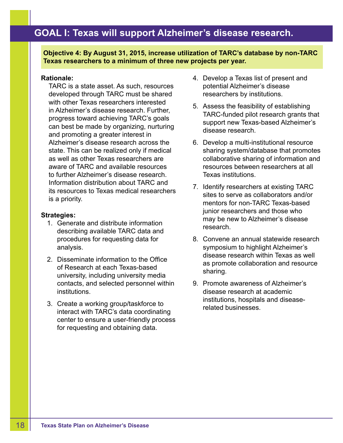**Objective 4: By August 31, 2015, increase utilization of TARC's database by non-TARC Texas researchers to a minimum of three new projects per year.**

# **Rationale:**

TARC is a state asset. As such, resources developed through TARC must be shared with other Texas researchers interested in Alzheimer's disease research. Further, progress toward achieving TARC's goals can best be made by organizing, nurturing and promoting a greater interest in Alzheimer's disease research across the state. This can be realized only if medical as well as other Texas researchers are aware of TARC and available resources to further Alzheimer's disease research. Information distribution about TARC and its resources to Texas medical researchers is a priority.

- 1. Generate and distribute information describing available TARC data and procedures for requesting data for analysis.
- 2. Disseminate information to the Office of Research at each Texas-based university, including university media contacts, and selected personnel within institutions.
- 3. Create a working group/taskforce to interact with TARC's data coordinating center to ensure a user-friendly process for requesting and obtaining data.
- 4. Develop a Texas list of present and potential Alzheimer's disease researchers by institutions.
- 5. Assess the feasibility of establishing TARC-funded pilot research grants that support new Texas-based Alzheimer's disease research.
- 6. Develop a multi-institutional resource sharing system/database that promotes collaborative sharing of information and resources between researchers at all Texas institutions.
- 7. Identify researchers at existing TARC sites to serve as collaborators and/or mentors for non-TARC Texas-based junior researchers and those who may be new to Alzheimer's disease research.
- 8. Convene an annual statewide research symposium to highlight Alzheimer's disease research within Texas as well as promote collaboration and resource sharing.
- 9. Promote awareness of Alzheimer's disease research at academic institutions, hospitals and diseaserelated businesses.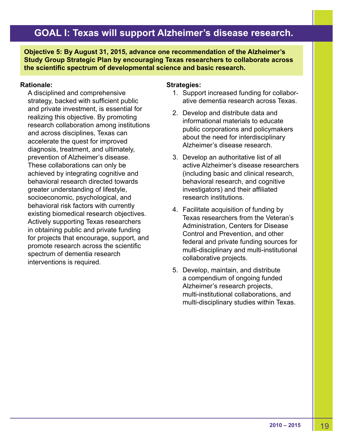**Objective 5: By August 31, 2015, advance one recommendation of the Alzheimer's Study Group Strategic Plan by encouraging Texas researchers to collaborate across the scientific spectrum of developmental science and basic research.**

## **Rationale:**

A disciplined and comprehensive strategy, backed with sufficient public and private investment, is essential for realizing this objective. By promoting research collaboration among institutions and across disciplines, Texas can accelerate the quest for improved diagnosis, treatment, and ultimately, prevention of Alzheimer's disease. These collaborations can only be achieved by integrating cognitive and behavioral research directed towards greater understanding of lifestyle, socioeconomic, psychological, and behavioral risk factors with currently existing biomedical research objectives. Actively supporting Texas researchers in obtaining public and private funding for projects that encourage, support, and promote research across the scientific spectrum of dementia research interventions is required.

- 1. Support increased funding for collaborative dementia research across Texas.
- 2. Develop and distribute data and informational materials to educate public corporations and policymakers about the need for interdisciplinary Alzheimer's disease research.
- 3. Develop an authoritative list of all active Alzheimer's disease researchers (including basic and clinical research, behavioral research, and cognitive investigators) and their affiliated research institutions.
- 4. Facilitate acquisition of funding by Texas researchers from the Veteran's Administration, Centers for Disease Control and Prevention, and other federal and private funding sources for multi-disciplinary and multi-institutional collaborative projects.
- 5. Develop, maintain, and distribute a compendium of ongoing funded Alzheimer's research projects, multi-institutional collaborations, and multi-disciplinary studies within Texas.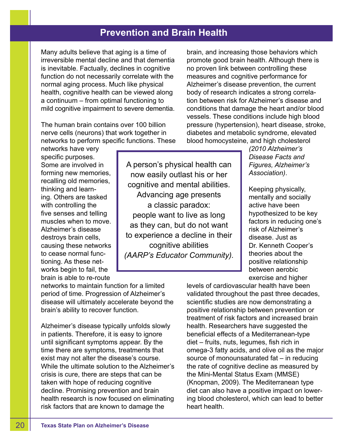# **Prevention and Brain Health**

Many adults believe that aging is a time of irreversible mental decline and that dementia is inevitable. Factually, declines in cognitive function do not necessarily correlate with the normal aging process. Much like physical health, cognitive health can be viewed along a continuum – from optimal functioning to mild cognitive impairment to severe dementia.

The human brain contains over 100 billion nerve cells (neurons) that work together in networks to perform specific functions. These

networks have very specific purposes. Some are involved in forming new memories, recalling old memories, thinking and learning. Others are tasked with controlling the five senses and telling muscles when to move. Alzheimer's disease destroys brain cells, causing these networks to cease normal functioning. As these networks begin to fail, the brain is able to re-route

A person's physical health can now easily outlast his or her cognitive and mental abilities. Advancing age presents a classic paradox: people want to live as long as they can, but do not want to experience a decline in their cognitive abilities *(AARP's Educator Community).*

brain, and increasing those behaviors which promote good brain health. Although there is no proven link between controlling these measures and cognitive performance for Alzheimer's disease prevention, the current body of research indicates a strong correlation between risk for Alzheimer's disease and conditions that damage the heart and/or blood vessels. These conditions include high blood pressure (hypertension), heart disease, stroke, diabetes and metabolic syndrome, elevated blood homocysteine, and high cholesterol

> *(2010 Alzheimer's Disease Facts and Figures, Alzheimer's Association)*.

Keeping physically, mentally and socially active have been hypothesized to be key factors in reducing one's risk of Alzheimer's disease. Just as Dr. Kenneth Cooper's theories about the positive relationship between aerobic exercise and higher

networks to maintain function for a limited period of time. Progression of Alzheimer's disease will ultimately accelerate beyond the brain's ability to recover function.

Alzheimer's disease typically unfolds slowly in patients. Therefore, it is easy to ignore until significant symptoms appear. By the time there are symptoms, treatments that exist may not alter the disease's course. While the ultimate solution to the Alzheimer's crisis is cure, there are steps that can be taken with hope of reducing cognitive decline. Promising prevention and brain health research is now focused on eliminating risk factors that are known to damage the

levels of cardiovascular health have been validated throughout the past three decades, scientific studies are now demonstrating a positive relationship between prevention or treatment of risk factors and increased brain health. Researchers have suggested the beneficial effects of a Mediterranean-type diet – fruits, nuts, legumes, fish rich in omega-3 fatty acids, and olive oil as the major source of monounsaturated fat – in reducing the rate of cognitive decline as measured by the Mini-Mental Status Exam (MMSE) (Knopman, 2009). The Mediterranean type diet can also have a positive impact on lowering blood cholesterol, which can lead to better heart health.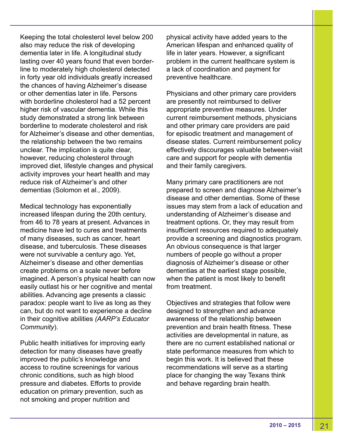Keeping the total cholesterol level below 200 also may reduce the risk of developing dementia later in life. A longitudinal study lasting over 40 years found that even borderline to moderately high cholesterol detected in forty year old individuals greatly increased the chances of having Alzheimer's disease or other dementias later in life. Persons with borderline cholesterol had a 52 percent higher risk of vascular dementia. While this study demonstrated a strong link between borderline to moderate cholesterol and risk for Alzheimer's disease and other dementias, the relationship between the two remains unclear. The implication is quite clear, however, reducing cholesterol through improved diet, lifestyle changes and physical activity improves your heart health and may reduce risk of Alzheimer's and other dementias (Solomon et al., 2009).

Medical technology has exponentially increased lifespan during the 20th century, from 46 to 78 years at present. Advances in medicine have led to cures and treatments of many diseases, such as cancer, heart disease, and tuberculosis. These diseases were not survivable a century ago. Yet, Alzheimer's disease and other dementias create problems on a scale never before imagined. A person's physical health can now easily outlast his or her cognitive and mental abilities. Advancing age presents a classic paradox: people want to live as long as they can, but do not want to experience a decline in their cognitive abilities *(AARP's Educator Community*).

Public health initiatives for improving early detection for many diseases have greatly improved the public's knowledge and access to routine screenings for various chronic conditions, such as high blood pressure and diabetes. Efforts to provide education on primary prevention, such as not smoking and proper nutrition and

physical activity have added years to the American lifespan and enhanced quality of life in later years. However, a significant problem in the current healthcare system is a lack of coordination and payment for preventive healthcare.

Physicians and other primary care providers are presently not reimbursed to deliver appropriate preventive measures. Under current reimbursement methods, physicians and other primary care providers are paid for episodic treatment and management of disease states. Current reimbursement policy effectively discourages valuable between-visit care and support for people with dementia and their family caregivers.

Many primary care practitioners are not prepared to screen and diagnose Alzheimer's disease and other dementias. Some of these issues may stem from a lack of education and understanding of Alzheimer's disease and treatment options. Or, they may result from insufficient resources required to adequately provide a screening and diagnostics program. An obvious consequence is that larger numbers of people go without a proper diagnosis of Alzheimer's disease or other dementias at the earliest stage possible, when the patient is most likely to benefit from treatment.

Objectives and strategies that follow were designed to strengthen and advance awareness of the relationship between prevention and brain health fitness. These activities are developmental in nature, as there are no current established national or state performance measures from which to begin this work. It is believed that these recommendations will serve as a starting place for changing the way Texans think and behave regarding brain health.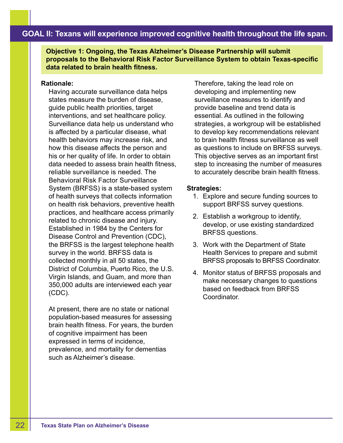**Objective 1: Ongoing, the Texas Alzheimer's Disease Partnership will submit proposals to the Behavioral Risk Factor Surveillance System to obtain Texas-specific data related to brain health fitness.**

### **Rationale:**

Having accurate surveillance data helps states measure the burden of disease, guide public health priorities, target interventions, and set healthcare policy. Surveillance data help us understand who is affected by a particular disease, what health behaviors may increase risk, and how this disease affects the person and his or her quality of life. In order to obtain data needed to assess brain health fitness, reliable surveillance is needed. The Behavioral Risk Factor Surveillance System (BRFSS) is a state-based system of health surveys that collects information on health risk behaviors, preventive health practices, and healthcare access primarily related to chronic disease and injury. Established in 1984 by the Centers for Disease Control and Prevention (CDC), the BRFSS is the largest telephone health survey in the world. BRFSS data is collected monthly in all 50 states, the District of Columbia, Puerto Rico, the U.S. Virgin Islands, and Guam, and more than 350,000 adults are interviewed each year (CDC).

At present, there are no state or national population-based measures for assessing brain health fitness. For years, the burden of cognitive impairment has been expressed in terms of incidence, prevalence, and mortality for dementias such as Alzheimer's disease.

Therefore, taking the lead role on developing and implementing new surveillance measures to identify and provide baseline and trend data is essential. As outlined in the following strategies, a workgroup will be established to develop key recommendations relevant to brain health fitness surveillance as well as questions to include on BRFSS surveys. This objective serves as an important first step to increasing the number of measures to accurately describe brain health fitness.

- 1. Explore and secure funding sources to support BRFSS survey questions.
- 2. Establish a workgroup to identify, develop, or use existing standardized BRFSS questions.
- 3. Work with the Department of State Health Services to prepare and submit BRFSS proposals to BRFSS Coordinator.
- 4. Monitor status of BRFSS proposals and make necessary changes to questions based on feedback from BRFSS Coordinator.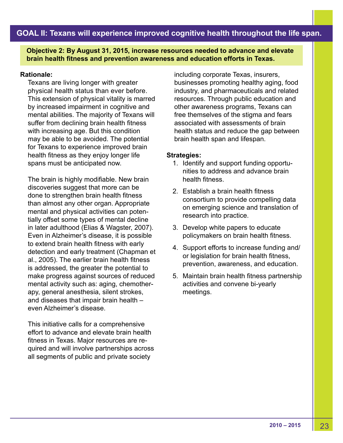**Objective 2: By August 31, 2015, increase resources needed to advance and elevate brain health fitness and prevention awareness and education efforts in Texas.**

# **Rationale:**

Texans are living longer with greater physical health status than ever before. This extension of physical vitality is marred by increased impairment in cognitive and mental abilities. The majority of Texans will suffer from declining brain health fitness with increasing age. But this condition may be able to be avoided. The potential for Texans to experience improved brain health fitness as they enjoy longer life spans must be anticipated now.

The brain is highly modifiable. New brain discoveries suggest that more can be done to strengthen brain health fitness than almost any other organ. Appropriate mental and physical activities can potentially offset some types of mental decline in later adulthood (Elias & Wagster, 2007). Even in Alzheimer's disease, it is possible to extend brain health fitness with early detection and early treatment (Chapman et al., 2005). The earlier brain health fitness is addressed, the greater the potential to make progress against sources of reduced mental activity such as: aging, chemotherapy, general anesthesia, silent strokes, and diseases that impair brain health – even Alzheimer's disease.

This initiative calls for a comprehensive effort to advance and elevate brain health fitness in Texas. Major resources are required and will involve partnerships across all segments of public and private society

including corporate Texas, insurers, businesses promoting healthy aging, food industry, and pharmaceuticals and related resources. Through public education and other awareness programs, Texans can free themselves of the stigma and fears associated with assessments of brain health status and reduce the gap between brain health span and lifespan.

- 1. Identify and support funding opportunities to address and advance brain health fitness.
- 2. Establish a brain health fitness consortium to provide compelling data on emerging science and translation of research into practice.
- 3. Develop white papers to educate policymakers on brain health fitness.
- 4. Support efforts to increase funding and/ or legislation for brain health fitness, prevention, awareness, and education.
- 5. Maintain brain health fitness partnership activities and convene bi-yearly meetings.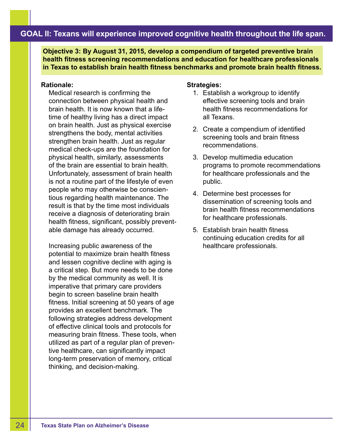**Objective 3: By August 31, 2015, develop a compendium of targeted preventive brain health fitness screening recommendations and education for healthcare professionals in Texas to establish brain health fitness benchmarks and promote brain health fitness.**

#### **Rationale:**

Medical research is confirming the connection between physical health and brain health. It is now known that a lifetime of healthy living has a direct impact on brain health. Just as physical exercise strengthens the body, mental activities strengthen brain health. Just as regular medical check-ups are the foundation for physical health, similarly, assessments of the brain are essential to brain health. Unfortunately, assessment of brain health is not a routine part of the lifestyle of even people who may otherwise be conscientious regarding health maintenance. The result is that by the time most individuals receive a diagnosis of deteriorating brain health fitness, significant, possibly preventable damage has already occurred.

Increasing public awareness of the potential to maximize brain health fitness and lessen cognitive decline with aging is a critical step. But more needs to be done by the medical community as well. It is imperative that primary care providers begin to screen baseline brain health fitness. Initial screening at 50 years of age provides an excellent benchmark. The following strategies address development of effective clinical tools and protocols for measuring brain fitness. These tools, when utilized as part of a regular plan of preventive healthcare, can significantly impact long-term preservation of memory, critical thinking, and decision-making.

- 1. Establish a workgroup to identify effective screening tools and brain health fitness recommendations for all Texans.
- 2. Create a compendium of identified screening tools and brain fitness recommendations.
- 3. Develop multimedia education programs to promote recommendations for healthcare professionals and the public.
- 4. Determine best processes for dissemination of screening tools and brain health fitness recommendations for healthcare professionals.
- 5. Establish brain health fitness continuing education credits for all healthcare professionals.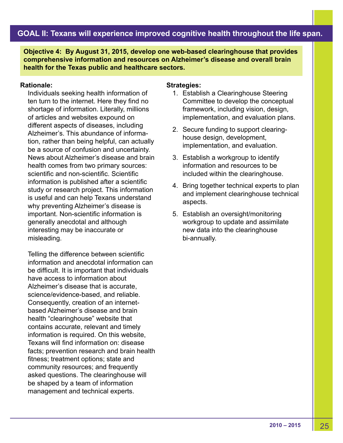**Objective 4: By August 31, 2015, develop one web-based clearinghouse that provides comprehensive information and resources on Alzheimer's disease and overall brain health for the Texas public and healthcare sectors.**

#### **Rationale:**

Individuals seeking health information of ten turn to the internet. Here they find no shortage of information. Literally, millions of articles and websites expound on different aspects of diseases, including Alzheimer's. This abundance of information, rather than being helpful, can actually be a source of confusion and uncertainty. News about Alzheimer's disease and brain health comes from two primary sources: scientific and non-scientific. Scientific information is published after a scientific study or research project. This information is useful and can help Texans understand why preventing Alzheimer's disease is important. Non-scientific information is generally anecdotal and although interesting may be inaccurate or misleading.

Telling the difference between scientific information and anecdotal information can be difficult. It is important that individuals have access to information about Alzheimer's disease that is accurate, science/evidence-based, and reliable. Consequently, creation of an internetbased Alzheimer's disease and brain health "clearinghouse" website that contains accurate, relevant and timely information is required. On this website, Texans will find information on: disease facts; prevention research and brain health fitness; treatment options; state and community resources; and frequently asked questions. The clearinghouse will be shaped by a team of information management and technical experts.

- 1. Establish a Clearinghouse Steering Committee to develop the conceptual framework, including vision, design, implementation, and evaluation plans.
- 2. Secure funding to support clearinghouse design, development, implementation, and evaluation.
- 3. Establish a workgroup to identify information and resources to be included within the clearinghouse.
- 4. Bring together technical experts to plan and implement clearinghouse technical aspects.
- 5. Establish an oversight/monitoring workgroup to update and assimilate new data into the clearinghouse bi-annually.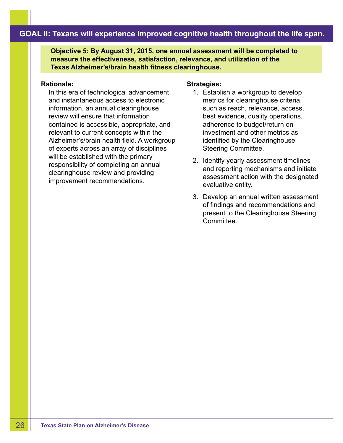**Objective 5: By August 31, 2015, one annual assessment will be completed to measure the effectiveness, satisfaction, relevance, and utilization of the Texas Alzheimer's/brain health fitness clearinghouse.**

#### **Rationale:**

In this era of technological advancement and instantaneous access to electronic information, an annual clearinghouse review will ensure that information contained is accessible, appropriate, and relevant to current concepts within the Alzheimer's/brain health field. A workgroup of experts across an array of disciplines will be established with the primary responsibility of completing an annual clearinghouse review and providing improvement recommendations.

- 1. Establish a workgroup to develop metrics for clearinghouse criteria, such as reach, relevance, access, best evidence, quality operations, adherence to budget/return on investment and other metrics as identified by the Clearinghouse Steering Committee.
- 2. Identify yearly assessment timelines and reporting mechanisms and initiate assessment action with the designated evaluative entity.
- 3. Develop an annual written assessment of findings and recommendations and present to the Clearinghouse Steering **Committee.**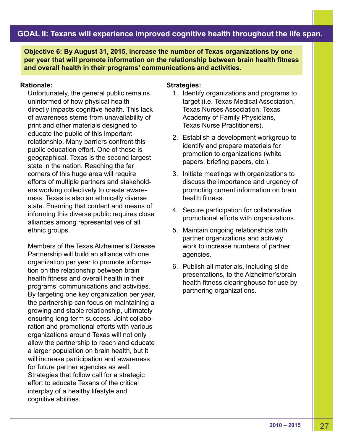**Objective 6: By August 31, 2015, increase the number of Texas organizations by one per year that will promote information on the relationship between brain health fitness and overall health in their programs' communications and activities.**

### **Rationale:**

Unfortunately, the general public remains uninformed of how physical health directly impacts cognitive health. This lack of awareness stems from unavailability of print and other materials designed to educate the public of this important relationship. Many barriers confront this public education effort. One of these is geographical. Texas is the second largest state in the nation. Reaching the far corners of this huge area will require efforts of multiple partners and stakeholders working collectively to create awareness. Texas is also an ethnically diverse state. Ensuring that content and means of informing this diverse public requires close alliances among representatives of all ethnic groups.

Members of the Texas Alzheimer's Disease Partnership will build an alliance with one organization per year to promote information on the relationship between brain health fitness and overall health in their programs' communications and activities. By targeting one key organization per year, the partnership can focus on maintaining a growing and stable relationship, ultimately ensuring long-term success. Joint collaboration and promotional efforts with various organizations around Texas will not only allow the partnership to reach and educate a larger population on brain health, but it will increase participation and awareness for future partner agencies as well. Strategies that follow call for a strategic effort to educate Texans of the critical interplay of a healthy lifestyle and cognitive abilities.

- 1. Identify organizations and programs to target (i.e. Texas Medical Association, Texas Nurses Association, Texas Academy of Family Physicians, Texas Nurse Practitioners).
- 2. Establish a development workgroup to identify and prepare materials for promotion to organizations (white papers, briefing papers, etc.).
- 3. Initiate meetings with organizations to discuss the importance and urgency of promoting current information on brain health fitness.
- 4. Secure participation for collaborative promotional efforts with organizations.
- 5. Maintain ongoing relationships with partner organizations and actively work to increase numbers of partner agencies.
- 6. Publish all materials, including slide presentations, to the Alzheimer's/brain health fitness clearinghouse for use by partnering organizations.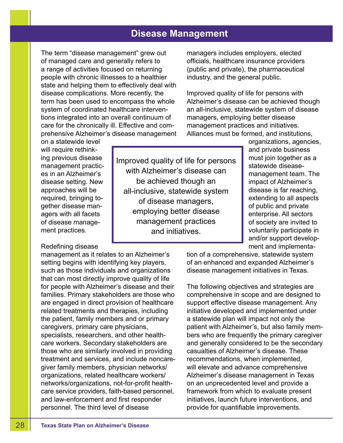# **Disease Management**

Improved quality of life for persons with Alzheimer's disease can be achieved though an all-inclusive, statewide system of disease managers, employing better disease management practices and initiatives.

The term "disease management" grew out of managed care and generally refers to a range of activities focused on returning people with chronic illnesses to a healthier state and helping them to effectively deal with disease complications. More recently, the term has been used to encompass the whole system of coordinated healthcare interventions integrated into an overall continuum of care for the chronically ill. Effective and comprehensive Alzheimer's disease management

on a statewide level will require rethinking previous disease management practices in an Alzheimer's disease setting. New approaches will be required, bringing together disease managers with all facets of disease management practices.

# Redefining disease

management as it relates to an Alzheimer's setting begins with identifying key players, such as those individuals and organizations that can most directly improve quality of life for people with Alzheimer's disease and their families. Primary stakeholders are those who are engaged in direct provision of healthcare related treatments and therapies, including the patient, family members and or primary caregivers, primary care physicians, specialists, researchers, and other healthcare workers. Secondary stakeholders are those who are similarly involved in providing treatment and services, and include noncaregiver family members, physician networks/ organizations, related healthcare workers/ networks/organizations, not-for-profit healthcare service providers, faith-based personnel, and law-enforcement and first responder personnel. The third level of disease

managers includes employers, elected officials, healthcare insurance providers (public and private), the pharmaceutical industry, and the general public.

Improved quality of life for persons with Alzheimer's disease can be achieved though an all-inclusive, statewide system of disease managers, employing better disease management practices and initiatives. Alliances must be formed, and institutions,

organizations, agencies, and private business must join together as a statewide diseasemanagement team. The impact of Alzheimer's disease is far reaching, extending to all aspects of public and private enterprise. All sectors of society are invited to voluntarily participate in and/or support development and implementa-

tion of a comprehensive, statewide system of an enhanced and expanded Alzheimer's disease management initiatives in Texas.

The following objectives and strategies are comprehensive in scope and are designed to support effective disease management. Any initiative developed and implemented under a statewide plan will impact not only the patient with Alzheimer's, but also family members who are frequently the primary caregiver and generally considered to be the secondary casualties of Alzheimer's disease. These recommendations, when implemented, will elevate and advance comprehensive Alzheimer's disease management in Texas on an unprecedented level and provide a framework from which to evaluate present initiatives, launch future interventions, and provide for quantifiable improvements.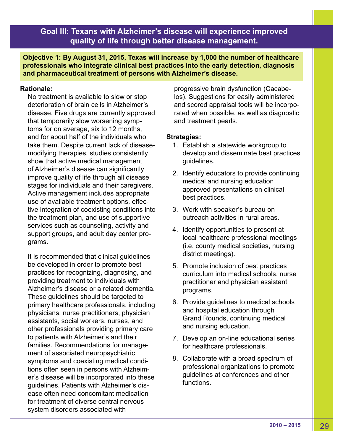**Objective 1: By August 31, 2015, Texas will increase by 1,000 the number of healthcare professionals who integrate clinical best practices into the early detection, diagnosis and pharmaceutical treatment of persons with Alzheimer's disease.**

# **Rationale:**

No treatment is available to slow or stop deterioration of brain cells in Alzheimer's disease. Five drugs are currently approved that temporarily slow worsening symptoms for on average, six to 12 months, and for about half of the individuals who take them. Despite current lack of diseasemodifying therapies, studies consistently show that active medical management of Alzheimer's disease can significantly improve quality of life through all disease stages for individuals and their caregivers. Active management includes appropriate use of available treatment options, effective integration of coexisting conditions into the treatment plan, and use of supportive services such as counseling, activity and support groups, and adult day center programs.

It is recommended that clinical guidelines be developed in order to promote best practices for recognizing, diagnosing, and providing treatment to individuals with Alzheimer's disease or a related dementia. These guidelines should be targeted to primary healthcare professionals, including physicians, nurse practitioners, physician assistants, social workers, nurses, and other professionals providing primary care to patients with Alzheimer's and their families. Recommendations for management of associated neuropsychiatric symptoms and coexisting medical conditions often seen in persons with Alzheimer's disease will be incorporated into these guidelines. Patients with Alzheimer's disease often need concomitant medication for treatment of diverse central nervous system disorders associated with

progressive brain dysfunction (Cacabelos). Suggestions for easily administered and scored appraisal tools will be incorporated when possible, as well as diagnostic and treatment pearls.

- 1. Establish a statewide workgroup to develop and disseminate best practices guidelines.
- 2. Identify educators to provide continuing medical and nursing education approved presentations on clinical best practices.
- 3. Work with speaker's bureau on outreach activities in rural areas.
- 4. Identify opportunities to present at local healthcare professional meetings (i.e. county medical societies, nursing district meetings).
- 5. Promote inclusion of best practices curriculum into medical schools, nurse practitioner and physician assistant programs.
- 6. Provide guidelines to medical schools and hospital education through Grand Rounds, continuing medical and nursing education.
- 7. Develop an on-line educational series for healthcare professionals.
- 8. Collaborate with a broad spectrum of professional organizations to promote guidelines at conferences and other functions.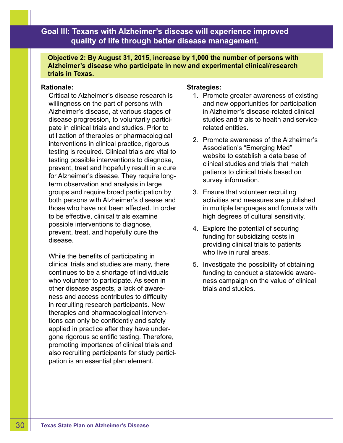**Objective 2: By August 31, 2015, increase by 1,000 the number of persons with Alzheimer's disease who participate in new and experimental clinical/research trials in Texas.**

## **Rationale:**

Critical to Alzheimer's disease research is willingness on the part of persons with Alzheimer's disease, at various stages of disease progression, to voluntarily participate in clinical trials and studies. Prior to utilization of therapies or pharmacological interventions in clinical practice, rigorous testing is required. Clinical trials are vital to testing possible interventions to diagnose, prevent, treat and hopefully result in a cure for Alzheimer's disease. They require longterm observation and analysis in large groups and require broad participation by both persons with Alzheimer's disease and those who have not been affected. In order to be effective, clinical trials examine possible interventions to diagnose, prevent, treat, and hopefully cure the disease.

While the benefits of participating in clinical trials and studies are many, there continues to be a shortage of individuals who volunteer to participate. As seen in other disease aspects, a lack of awareness and access contributes to difficulty in recruiting research participants. New therapies and pharmacological interventions can only be confidently and safely applied in practice after they have undergone rigorous scientific testing. Therefore, promoting importance of clinical trials and also recruiting participants for study participation is an essential plan element.

- 1. Promote greater awareness of existing and new opportunities for participation in Alzheimer's disease-related clinical studies and trials to health and servicerelated entities.
- 2. Promote awareness of the Alzheimer's Association's "Emerging Med" website to establish a data base of clinical studies and trials that match patients to clinical trials based on survey information.
- 3. Ensure that volunteer recruiting activities and measures are published in multiple languages and formats with high degrees of cultural sensitivity.
- 4. Explore the potential of securing funding for subsidizing costs in providing clinical trials to patients who live in rural areas.
- 5. Investigate the possibility of obtaining funding to conduct a statewide awareness campaign on the value of clinical trials and studies.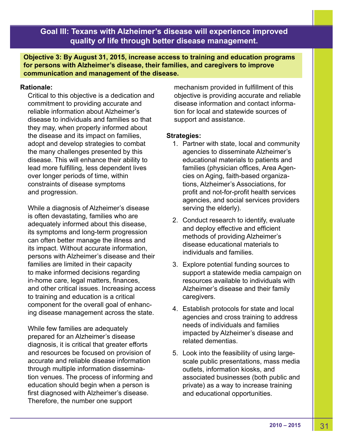**Objective 3: By August 31, 2015, increase access to training and education programs for persons with Alzheimer's disease, their families, and caregivers to improve communication and management of the disease.**

# **Rationale:**

Critical to this objective is a dedication and commitment to providing accurate and reliable information about Alzheimer's disease to individuals and families so that they may, when properly informed about the disease and its impact on families, adopt and develop strategies to combat the many challenges presented by this disease. This will enhance their ability to lead more fulfilling, less dependent lives over longer periods of time, within constraints of disease symptoms and progression.

While a diagnosis of Alzheimer's disease is often devastating, families who are adequately informed about this disease, its symptoms and long-term progression can often better manage the illness and its impact. Without accurate information, persons with Alzheimer's disease and their families are limited in their capacity to make informed decisions regarding in-home care, legal matters, finances, and other critical issues. Increasing access to training and education is a critical component for the overall goal of enhancing disease management across the state.

While few families are adequately prepared for an Alzheimer's disease diagnosis, it is critical that greater efforts and resources be focused on provision of accurate and reliable disease information through multiple information dissemination venues. The process of informing and education should begin when a person is first diagnosed with Alzheimer's disease. Therefore, the number one support

mechanism provided in fulfillment of this objective is providing accurate and reliable disease information and contact information for local and statewide sources of support and assistance.

- 1. Partner with state, local and community agencies to disseminate Alzheimer's educational materials to patients and families (physician offices, Area Agencies on Aging, faith-based organizations, Alzheimer's Associations, for profit and not-for-profit health services agencies, and social services providers serving the elderly).
- 2. Conduct research to identify, evaluate and deploy effective and efficient methods of providing Alzheimer's disease educational materials to individuals and families.
- 3. Explore potential funding sources to support a statewide media campaign on resources available to individuals with Alzheimer's disease and their family caregivers.
- 4. Establish protocols for state and local agencies and cross training to address needs of individuals and families impacted by Alzheimer's disease and related dementias.
- 5. Look into the feasibility of using largescale public presentations, mass media outlets, information kiosks, and associated businesses (both public and private) as a way to increase training and educational opportunities.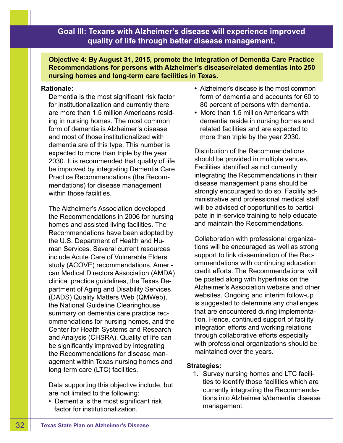**Objective 4: By August 31, 2015, promote the integration of Dementia Care Practice Recommendations for persons with Alzheimer's disease/related dementias into 250 nursing homes and long-term care facilities in Texas.**

## **Rationale:**

Dementia is the most significant risk factor for institutionalization and currently there are more than 1.5 million Americans residing in nursing homes. The most common form of dementia is Alzheimer's disease and most of those institutionalized with dementia are of this type. This number is expected to more than triple by the year 2030. It is recommended that quality of life be improved by integrating Dementia Care Practice Recommendations (the Recommendations) for disease management within those facilities.

The Alzheimer's Association developed the Recommendations in 2006 for nursing homes and assisted living facilities. The Recommendations have been adopted by the U.S. Department of Health and Human Services. Several current resources include Acute Care of Vulnerable Elders study (ACOVE) recommendations, American Medical Directors Association (AMDA) clinical practice guidelines, the Texas Department of Aging and Disability Services (DADS) Quality Matters Web (QMWeb), the National Guideline Clearinghouse summary on dementia care practice recommendations for nursing homes, and the Center for Health Systems and Research and Analysis (CHSRA). Quality of life can be significantly improved by integrating the Recommendations for disease management within Texas nursing homes and long-term care (LTC) facilities.

Data supporting this objective include, but are not limited to the following:

• Dementia is the most significant risk factor for institutionalization.

- Alzheimer's disease is the most common form of dementia and accounts for 60 to 80 percent of persons with dementia.
- More than 1.5 million Americans with dementia reside in nursing homes and related facilities and are expected to more than triple by the year 2030.

Distribution of the Recommendations should be provided in multiple venues. Facilities identified as not currently integrating the Recommendations in their disease management plans should be strongly encouraged to do so. Facility administrative and professional medical staff will be advised of opportunities to participate in in-service training to help educate and maintain the Recommendations.

Collaboration with professional organizations will be encouraged as well as strong support to link dissemination of the Recommendations with continuing education credit efforts. The Recommendations will be posted along with hyperlinks on the Alzheimer's Association website and other websites. Ongoing and interim follow-up is suggested to determine any challenges that are encountered during implementation. Hence, continued support of facility integration efforts and working relations through collaborative efforts especially with professional organizations should be maintained over the years.

# **Strategies:**

1. Survey nursing homes and LTC facilities to identify those facilities which are currently integrating the Recommendations into Alzheimer's/dementia disease management.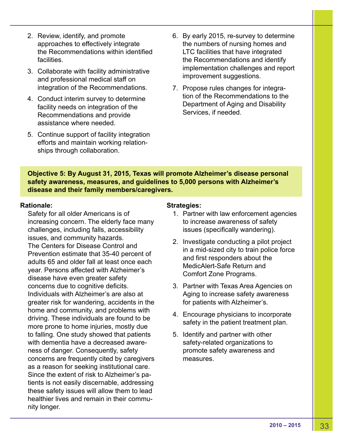- 2. Review, identify, and promote approaches to effectively integrate the Recommendations within identified facilities.
- 3. Collaborate with facility administrative and professional medical staff on integration of the Recommendations.
- 4. Conduct interim survey to determine facility needs on integration of the Recommendations and provide assistance where needed.
- 5. Continue support of facility integration efforts and maintain working relationships through collaboration.
- 6. By early 2015, re-survey to determine the numbers of nursing homes and LTC facilities that have integrated the Recommendations and identify implementation challenges and report improvement suggestions.
- 7. Propose rules changes for integration of the Recommendations to the Department of Aging and Disability Services, if needed.

**Objective 5: By August 31, 2015, Texas will promote Alzheimer's disease personal safety awareness, measures, and guidelines to 5,000 persons with Alzheimer's disease and their family members/caregivers.**

# **Rationale:**

Safety for all older Americans is of increasing concern. The elderly face many challenges, including falls, accessibility issues, and community hazards. The Centers for Disease Control and Prevention estimate that 35-40 percent of adults 65 and older fall at least once each year. Persons affected with Alzheimer's disease have even greater safety concerns due to cognitive deficits. Individuals with Alzheimer's are also at greater risk for wandering, accidents in the home and community, and problems with driving. These individuals are found to be more prone to home injuries, mostly due to falling. One study showed that patients with dementia have a decreased awareness of danger. Consequently, safety concerns are frequently cited by caregivers as a reason for seeking institutional care. Since the extent of risk to Alzheimer's patients is not easily discernable, addressing these safety issues will allow them to lead healthier lives and remain in their community longer.

- 1. Partner with law enforcement agencies to increase awareness of safety issues (specifically wandering).
- 2. Investigate conducting a pilot project in a mid-sized city to train police force and first responders about the MedicAlert-Safe Return and Comfort Zone Programs.
- 3. Partner with Texas Area Agencies on Aging to increase safety awareness for patients with Alzheimer's.
- 4. Encourage physicians to incorporate safety in the patient treatment plan.
- 5. Identify and partner with other safety-related organizations to promote safety awareness and measures.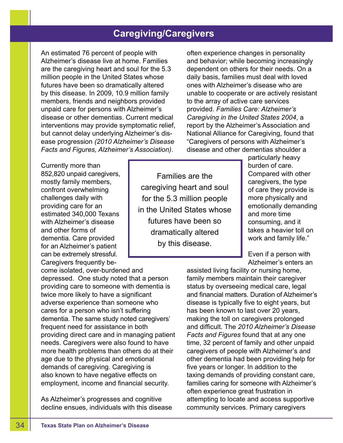# **Caregiving/Caregivers**

An estimated 76 percent of people with Alzheimer's disease live at home. Families are the caregiving heart and soul for the 5.3 million people in the United States whose futures have been so dramatically altered by this disease. In 2009, 10.9 million family members, friends and neighbors provided unpaid care for persons with Alzheimer's disease or other dementias. Current medical interventions may provide symptomatic relief, but cannot delay underlying Alzheimer's disease progression *(2010 Alzheimer's Disease Facts and Figures, Alzheimer's Association)*.

often experience changes in personality and behavior; while becoming increasingly dependent on others for their needs. On a daily basis, families must deal with loved ones with Alzheimer's disease who are unable to cooperate or are actively resistant to the array of active care services provided. *Families Care: Alzheimer's Caregiving in the United States 2004*, a report by the Alzheimer's Association and National Alliance for Caregiving, found that "Caregivers of persons with Alzheimer's disease and other dementias shoulder a

Currently more than 852,820 unpaid caregivers, mostly family members, confront overwhelming challenges daily with providing care for an estimated 340,000 Texans with Alzheimer's disease and other forms of dementia. Care provided for an Alzheimer's patient can be extremely stressful. Caregivers frequently be-

come isolated, over-burdened and depressed. One study noted that a person providing care to someone with dementia is twice more likely to have a significant adverse experience than someone who cares for a person who isn't suffering dementia. The same study noted caregivers' frequent need for assistance in both providing direct care and in managing patient needs. Caregivers were also found to have more health problems than others do at their age due to the physical and emotional demands of caregiving. Caregiving is also known to have negative effects on employment, income and financial security.

As Alzheimer's progresses and cognitive decline ensues, individuals with this disease

Families are the caregiving heart and soul for the 5.3 million people in the United States whose futures have been so dramatically altered by this disease.

particularly heavy burden of care. Compared with other caregivers, the type of care they provide is more physically and emotionally demanding and more time consuming, and it takes a heavier toll on work and family life."

Even if a person with Alzheimer's enters an

assisted living facility or nursing home, family members maintain their caregiver status by overseeing medical care, legal and financial matters. Duration of Alzheimer's disease is typically five to eight years, but has been known to last over 20 years, making the toll on caregivers prolonged and difficult. The *2010 Alzheimer's Disease Facts and Figures* found that at any one time, 32 percent of family and other unpaid caregivers of people with Alzheimer's and other dementia had been providing help for five years or longer. In addition to the taxing demands of providing constant care, families caring for someone with Alzheimer's often experience great frustration in attempting to locate and access supportive community services. Primary caregivers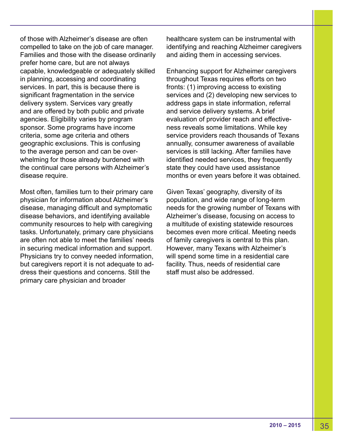of those with Alzheimer's disease are often compelled to take on the job of care manager. Families and those with the disease ordinarily prefer home care, but are not always capable, knowledgeable or adequately skilled in planning, accessing and coordinating services. In part, this is because there is significant fragmentation in the service delivery system. Services vary greatly and are offered by both public and private agencies. Eligibility varies by program sponsor. Some programs have income criteria, some age criteria and others geographic exclusions. This is confusing to the average person and can be overwhelming for those already burdened with the continual care persons with Alzheimer's disease require.

Most often, families turn to their primary care physician for information about Alzheimer's disease, managing difficult and symptomatic disease behaviors, and identifying available community resources to help with caregiving tasks. Unfortunately, primary care physicians are often not able to meet the families' needs in securing medical information and support. Physicians try to convey needed information, but caregivers report it is not adequate to address their questions and concerns. Still the primary care physician and broader

healthcare system can be instrumental with identifying and reaching Alzheimer caregivers and aiding them in accessing services.

Enhancing support for Alzheimer caregivers throughout Texas requires efforts on two fronts: (1) improving access to existing services and (2) developing new services to address gaps in state information, referral and service delivery systems. A brief evaluation of provider reach and effectiveness reveals some limitations. While key service providers reach thousands of Texans annually, consumer awareness of available services is still lacking. After families have identified needed services, they frequently state they could have used assistance months or even years before it was obtained.

Given Texas' geography, diversity of its population, and wide range of long-term needs for the growing number of Texans with Alzheimer's disease, focusing on access to a multitude of existing statewide resources becomes even more critical. Meeting needs of family caregivers is central to this plan. However, many Texans with Alzheimer's will spend some time in a residential care facility. Thus, needs of residential care staff must also be addressed.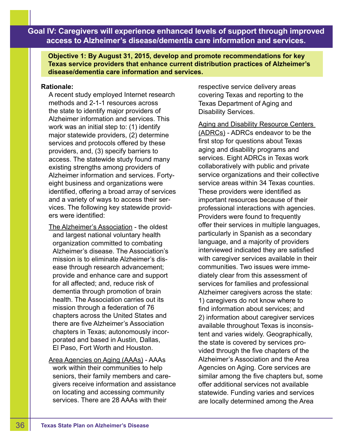**Objective 1: By August 31, 2015, develop and promote recommendations for key Texas service providers that enhance current distribution practices of Alzheimer's disease/dementia care information and services.**

# **Rationale:**

A recent study employed Internet research methods and 2-1-1 resources across the state to identify major providers of Alzheimer information and services. This work was an initial step to: (1) identify major statewide providers, (2) determine services and protocols offered by these providers, and, (3) specify barriers to access. The statewide study found many existing strengths among providers of Alzheimer information and services. Fortyeight business and organizations were identified, offering a broad array of services and a variety of ways to access their services. The following key statewide providers were identified:

The Alzheimer's Association - the oldest and largest national voluntary health organization committed to combating Alzheimer's disease. The Association's mission is to eliminate Alzheimer's disease through research advancement; provide and enhance care and support for all affected; and, reduce risk of dementia through promotion of brain health. The Association carries out its mission through a federation of 76 chapters across the United States and there are five Alzheimer's Association chapters in Texas; autonomously incorporated and based in Austin, Dallas, El Paso, Fort Worth and Houston.

Area Agencies on Aging (AAAs) - AAAs work within their communities to help seniors, their family members and caregivers receive information and assistance on locating and accessing community services. There are 28 AAAs with their

respective service delivery areas covering Texas and reporting to the Texas Department of Aging and Disability Services.

Aging and Disability Resource Centers (ADRCs) - ADRCs endeavor to be the first stop for questions about Texas aging and disability programs and services. Eight ADRCs in Texas work collaboratively with public and private service organizations and their collective service areas within 34 Texas counties. These providers were identified as important resources because of their professional interactions with agencies. Providers were found to frequently offer their services in multiple languages, particularly in Spanish as a secondary language, and a majority of providers interviewed indicated they are satisfied with caregiver services available in their communities. Two issues were immediately clear from this assessment of services for families and professional Alzheimer caregivers across the state: 1) caregivers do not know where to find information about services; and 2) information about caregiver services available throughout Texas is inconsistent and varies widely. Geographically, the state is covered by services provided through the five chapters of the Alzheimer's Association and the Area Agencies on Aging. Core services are similar among the five chapters but, some offer additional services not available statewide. Funding varies and services are locally determined among the Area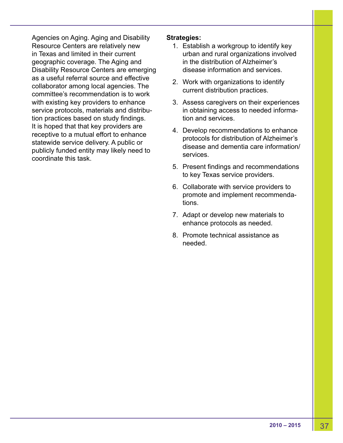Agencies on Aging. Aging and Disability Resource Centers are relatively new in Texas and limited in their current geographic coverage. The Aging and Disability Resource Centers are emerging as a useful referral source and effective collaborator among local agencies. The committee's recommendation is to work with existing key providers to enhance service protocols, materials and distribution practices based on study findings. It is hoped that that key providers are receptive to a mutual effort to enhance statewide service delivery. A public or publicly funded entity may likely need to coordinate this task.

- 1. Establish a workgroup to identify key urban and rural organizations involved in the distribution of Alzheimer's disease information and services.
- 2. Work with organizations to identify current distribution practices.
- 3. Assess caregivers on their experiences in obtaining access to needed information and services.
- 4. Develop recommendations to enhance protocols for distribution of Alzheimer's disease and dementia care information/ services.
- 5. Present findings and recommendations to key Texas service providers.
- 6. Collaborate with service providers to promote and implement recommendations.
- 7. Adapt or develop new materials to enhance protocols as needed.
- 8. Promote technical assistance as needed.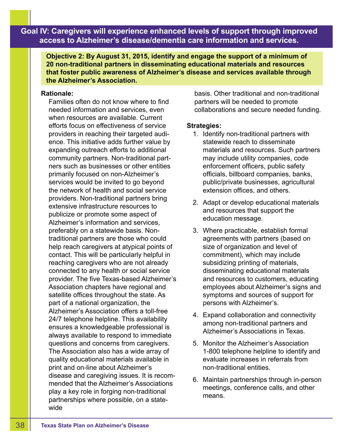**Objective 2: By August 31, 2015, identify and engage the support of a minimum of 20 non-traditional partners in disseminating educational materials and resources that foster public awareness of Alzheimer's disease and services available through the Alzheimer's Association.**

### **Rationale:**

Families often do not know where to find needed information and services, even when resources are available. Current efforts focus on effectiveness of service providers in reaching their targeted audience. This initiative adds further value by expanding outreach efforts to additional community partners. Non-traditional partners such as businesses or other entities primarily focused on non-Alzheimer's services would be invited to go beyond the network of health and social service providers. Non-traditional partners bring extensive infrastructure resources to publicize or promote some aspect of Alzheimer's information and services, preferably on a statewide basis. Nontraditional partners are those who could help reach caregivers at atypical points of contact. This will be particularly helpful in reaching caregivers who are not already connected to any health or social service provider. The five Texas-based Alzheimer's Association chapters have regional and satellite offices throughout the state. As part of a national organization, the Alzheimer's Association offers a toll-free 24/7 telephone helpline. This availability ensures a knowledgeable professional is always available to respond to immediate questions and concerns from caregivers. The Association also has a wide array of quality educational materials available in print and on-line about Alzheimer's disease and caregiving issues. It is recommended that the Alzheimer's Associations play a key role in forging non-traditional partnerships where possible, on a statewide

basis. Other traditional and non-traditional partners will be needed to promote collaborations and secure needed funding.

- 1. Identify non-traditional partners with statewide reach to disseminate materials and resources. Such partners may include utility companies, code enforcement officers, public safety officials, billboard companies, banks, public/private businesses, agricultural extension offices, and others.
- 2. Adapt or develop educational materials and resources that support the education message.
- 3. Where practicable, establish formal agreements with partners (based on size of organization and level of commitment), which may include subsidizing printing of materials, disseminating educational materials and resources to customers, educating employees about Alzheimer's signs and symptoms and sources of support for persons with Alzheimer's.
- 4. Expand collaboration and connectivity among non-traditional partners and Alzheimer's Associations in Texas.
- 5. Monitor the Alzheimer's Association 1-800 telephone helpline to identify and evaluate increases in referrals from non-traditional entities.
- 6. Maintain partnerships through in-person meetings, conference calls, and other means.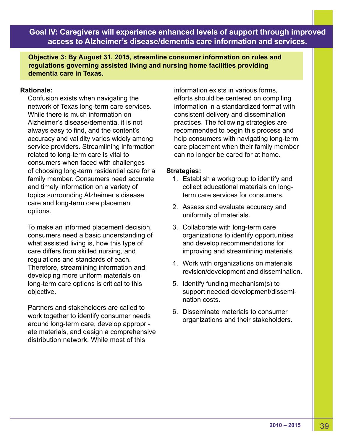**Objective 3: By August 31, 2015, streamline consumer information on rules and regulations governing assisted living and nursing home facilities providing dementia care in Texas.** 

# **Rationale:**

Confusion exists when navigating the network of Texas long-term care services. While there is much information on Alzheimer's disease/dementia, it is not always easy to find, and the content's accuracy and validity varies widely among service providers. Streamlining information related to long-term care is vital to consumers when faced with challenges of choosing long-term residential care for a family member. Consumers need accurate and timely information on a variety of topics surrounding Alzheimer's disease care and long-term care placement options.

To make an informed placement decision, consumers need a basic understanding of what assisted living is, how this type of care differs from skilled nursing, and regulations and standards of each. Therefore, streamlining information and developing more uniform materials on long-term care options is critical to this objective.

Partners and stakeholders are called to work together to identify consumer needs around long-term care, develop appropriate materials, and design a comprehensive distribution network. While most of this

information exists in various forms, efforts should be centered on compiling information in a standardized format with consistent delivery and dissemination practices. The following strategies are recommended to begin this process and help consumers with navigating long-term care placement when their family member can no longer be cared for at home.

- 1. Establish a workgroup to identify and collect educational materials on longterm care services for consumers.
- 2. Assess and evaluate accuracy and uniformity of materials.
- 3. Collaborate with long-term care organizations to identify opportunities and develop recommendations for improving and streamlining materials.
- 4. Work with organizations on materials revision/development and dissemination.
- 5. Identify funding mechanism(s) to support needed development/dissemination costs.
- 6. Disseminate materials to consumer organizations and their stakeholders.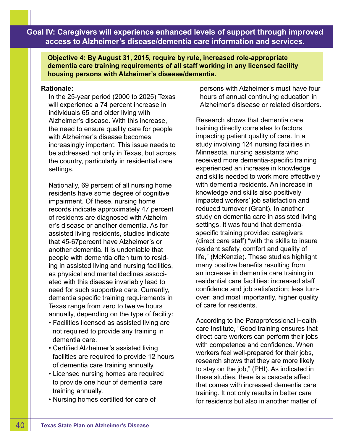**Objective 4: By August 31, 2015, require by rule, increased role-appropriate dementia care training requirements of all staff working in any licensed facility housing persons with Alzheimer's disease/dementia.** 

## **Rationale:**

In the 25-year period (2000 to 2025) Texas will experience a 74 percent increase in individuals 65 and older living with Alzheimer's disease. With this increase, the need to ensure quality care for people with Alzheimer's disease becomes increasingly important. This issue needs to be addressed not only in Texas, but across the country, particularly in residential care settings.

Nationally, 69 percent of all nursing home residents have some degree of cognitive impairment. Of these, nursing home records indicate approximately 47 percent of residents are diagnosed with Alzheimer's disease or another dementia. As for assisted living residents, studies indicate that 45-67percent have Alzheimer's or another dementia. It is undeniable that people with dementia often turn to residing in assisted living and nursing facilities, as physical and mental declines associated with this disease invariably lead to need for such supportive care. Currently, dementia specific training requirements in Texas range from zero to twelve hours annually, depending on the type of facility:

- Facilities licensed as assisted living are not required to provide any training in dementia care.
- Certified Alzheimer's assisted living facilities are required to provide 12 hours of dementia care training annually.
- Licensed nursing homes are required to provide one hour of dementia care training annually.
- Nursing homes certified for care of

persons with Alzheimer's must have four hours of annual continuing education in Alzheimer's disease or related disorders.

Research shows that dementia care training directly correlates to factors impacting patient quality of care. In a study involving 124 nursing facilities in Minnesota, nursing assistants who received more dementia-specific training experienced an increase in knowledge and skills needed to work more effectively with dementia residents. An increase in knowledge and skills also positively impacted workers' job satisfaction and reduced turnover (Grant). In another study on dementia care in assisted living settings, it was found that dementiaspecific training provided caregivers (direct care staff) "with the skills to insure resident safety, comfort and quality of life," (McKenzie). These studies highlight many positive benefits resulting from an increase in dementia care training in residential care facilities: increased staff confidence and job satisfaction; less turnover; and most importantly, higher quality of care for residents.

According to the Paraprofessional Healthcare Institute, "Good training ensures that direct-care workers can perform their jobs with competence and confidence. When workers feel well-prepared for their jobs, research shows that they are more likely to stay on the job," (PHI). As indicated in these studies, there is a cascade affect that comes with increased dementia care training. It not only results in better care for residents but also in another matter of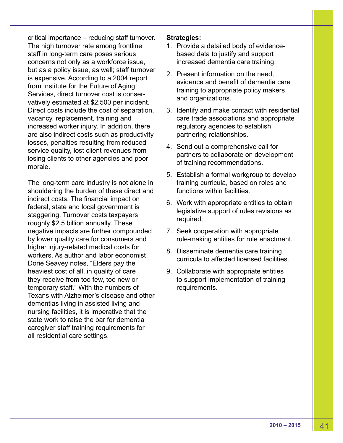critical importance – reducing staff turnover. The high turnover rate among frontline staff in long-term care poses serious concerns not only as a workforce issue, but as a policy issue, as well; staff turnover is expensive. According to a 2004 report from Institute for the Future of Aging Services, direct turnover cost is conservatively estimated at \$2,500 per incident. Direct costs include the cost of separation, vacancy, replacement, training and increased worker injury. In addition, there are also indirect costs such as productivity losses, penalties resulting from reduced service quality, lost client revenues from losing clients to other agencies and poor morale.

The long-term care industry is not alone in shouldering the burden of these direct and indirect costs. The financial impact on federal, state and local government is staggering. Turnover costs taxpayers roughly \$2.5 billion annually. These negative impacts are further compounded by lower quality care for consumers and higher injury-related medical costs for workers. As author and labor economist Dorie Seavey notes, "Elders pay the heaviest cost of all, in quality of care they receive from too few, too new or temporary staff." With the numbers of Texans with Alzheimer's disease and other dementias living in assisted living and nursing facilities, it is imperative that the state work to raise the bar for dementia caregiver staff training requirements for all residential care settings.

- 1. Provide a detailed body of evidencebased data to justify and support increased dementia care training.
- 2. Present information on the need, evidence and benefit of dementia care training to appropriate policy makers and organizations.
- 3. Identify and make contact with residential care trade associations and appropriate regulatory agencies to establish partnering relationships.
- 4. Send out a comprehensive call for partners to collaborate on development of training recommendations.
- 5. Establish a formal workgroup to develop training curricula, based on roles and functions within facilities
- 6. Work with appropriate entities to obtain legislative support of rules revisions as required.
- 7. Seek cooperation with appropriate rule-making entities for rule enactment.
- 8. Disseminate dementia care training curricula to affected licensed facilities.
- 9. Collaborate with appropriate entities to support implementation of training requirements.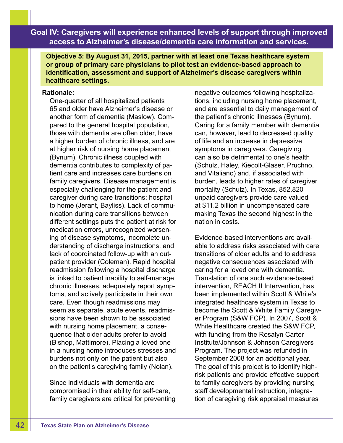**Objective 5: By August 31, 2015, partner with at least one Texas healthcare system or group of primary care physicians to pilot test an evidence-based approach to identification, assessment and support of Alzheimer's disease caregivers within healthcare settings.**

#### **Rationale:**

One-quarter of all hospitalized patients 65 and older have Alzheimer's disease or another form of dementia (Maslow). Compared to the general hospital population, those with dementia are often older, have a higher burden of chronic illness, and are at higher risk of nursing home placement (Bynum). Chronic illness coupled with dementia contributes to complexity of patient care and increases care burdens on family caregivers. Disease management is especially challenging for the patient and caregiver during care transitions: hospital to home (Jerant, Bayliss). Lack of communication during care transitions between different settings puts the patient at risk for medication errors, unrecognized worsening of disease symptoms, incomplete understanding of discharge instructions, and lack of coordinated follow-up with an outpatient provider (Coleman). Rapid hospital readmission following a hospital discharge is linked to patient inability to self-manage chronic illnesses, adequately report symptoms, and actively participate in their own care. Even though readmissions may seem as separate, acute events, readmissions have been shown to be associated with nursing home placement, a consequence that older adults prefer to avoid (Bishop, Mattimore). Placing a loved one in a nursing home introduces stresses and burdens not only on the patient but also on the patient's caregiving family (Nolan).

Since individuals with dementia are compromised in their ability for self-care, family caregivers are critical for preventing negative outcomes following hospitalizations, including nursing home placement, and are essential to daily management of the patient's chronic illnesses (Bynum). Caring for a family member with dementia can, however, lead to decreased quality of life and an increase in depressive symptoms in caregivers. Caregiving can also be detrimental to one's health (Schulz, Haley, Kiecolt-Glaser, Pruchno, and Vitaliano) and, if associated with burden, leads to higher rates of caregiver mortality (Schulz). In Texas, 852,820 unpaid caregivers provide care valued at \$11.2 billion in uncompensated care making Texas the second highest in the nation in costs.

Evidence-based interventions are available to address risks associated with care transitions of older adults and to address negative consequences associated with caring for a loved one with dementia. Translation of one such evidence-based intervention, REACH II Intervention, has been implemented within Scott & White's integrated healthcare system in Texas to become the Scott & White Family Caregiver Program (S&W FCP). In 2007, Scott & White Healthcare created the S&W FCP, with funding from the Rosalyn Carter Institute/Johnson & Johnson Caregivers Program. The project was refunded in September 2008 for an additional year. The goal of this project is to identify highrisk patients and provide effective support to family caregivers by providing nursing staff developmental instruction, integration of caregiving risk appraisal measures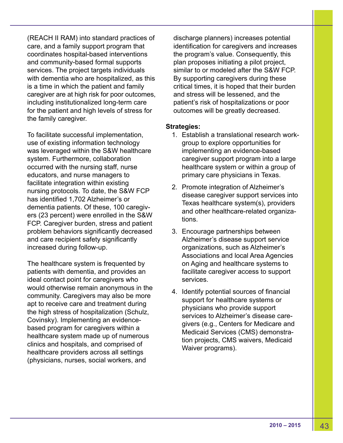(REACH II RAM) into standard practices of care, and a family support program that coordinates hospital-based interventions and community-based formal supports services. The project targets individuals with dementia who are hospitalized, as this is a time in which the patient and family caregiver are at high risk for poor outcomes, including institutionalized long-term care for the patient and high levels of stress for the family caregiver.

To facilitate successful implementation, use of existing information technology was leveraged within the S&W healthcare system. Furthermore, collaboration occurred with the nursing staff, nurse educators, and nurse managers to facilitate integration within existing nursing protocols. To date, the S&W FCP has identified 1,702 Alzheimer's or dementia patients. Of these, 100 caregivers (23 percent) were enrolled in the S&W FCP. Caregiver burden, stress and patient problem behaviors significantly decreased and care recipient safety significantly increased during follow-up.

The healthcare system is frequented by patients with dementia, and provides an ideal contact point for caregivers who would otherwise remain anonymous in the community. Caregivers may also be more apt to receive care and treatment during the high stress of hospitalization (Schulz, Covinsky). Implementing an evidencebased program for caregivers within a healthcare system made up of numerous clinics and hospitals, and comprised of healthcare providers across all settings (physicians, nurses, social workers, and

discharge planners) increases potential identification for caregivers and increases the program's value. Consequently, this plan proposes initiating a pilot project, similar to or modeled after the S&W FCP. By supporting caregivers during these critical times, it is hoped that their burden and stress will be lessened, and the patient's risk of hospitalizations or poor outcomes will be greatly decreased.

- 1. Establish a translational research workgroup to explore opportunities for implementing an evidence-based caregiver support program into a large healthcare system or within a group of primary care physicians in Texas.
- 2. Promote integration of Alzheimer's disease caregiver support services into Texas healthcare system(s), providers and other healthcare-related organizations.
- 3. Encourage partnerships between Alzheimer's disease support service organizations, such as Alzheimer's Associations and local Area Agencies on Aging and healthcare systems to facilitate caregiver access to support services.
- 4. Identify potential sources of financial support for healthcare systems or physicians who provide support services to Alzheimer's disease caregivers (e.g., Centers for Medicare and Medicaid Services (CMS) demonstration projects, CMS waivers, Medicaid Waiver programs).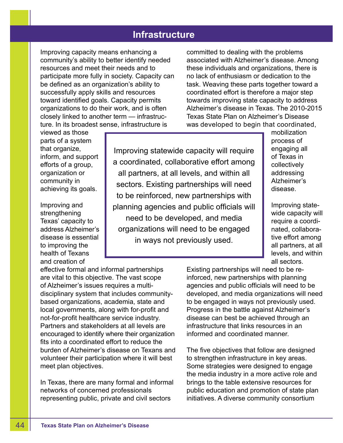# **Infrastructure**

Improving capacity means enhancing a community's ability to better identify needed resources and meet their needs and to participate more fully in society. Capacity can be defined as an organization's ability to successfully apply skills and resources toward identified goals. Capacity permits organizations to do their work, and is often closely linked to another term — infrastructure. In its broadest sense, infrastructure is

committed to dealing with the problems associated with Alzheimer's disease. Among these individuals and organizations, there is no lack of enthusiasm or dedication to the task. Weaving these parts together toward a coordinated effort is therefore a major step towards improving state capacity to address Alzheimer's disease in Texas. The 2010-2015 Texas State Plan on Alzheimer's Disease was developed to begin that coordinated,

viewed as those parts of a system that organize, inform, and support efforts of a group, organization or community in achieving its goals.

Improving and strengthening Texas' capacity to address Alzheimer's disease is essential to improving the health of Texans and creation of

Improving statewide capacity will require a coordinated, collaborative effort among all partners, at all levels, and within all sectors. Existing partnerships will need to be reinforced, new partnerships with planning agencies and public officials will need to be developed, and media organizations will need to be engaged in ways not previously used.

mobilization process of engaging all of Texas in collectively addressing Alzheimer's disease.

Improving statewide capacity will require a coordinated, collaborative effort among all partners, at all levels, and within all sectors.

effective formal and informal partnerships are vital to this objective. The vast scope of Alzheimer's issues requires a multidisciplinary system that includes communitybased organizations, academia, state and local governments, along with for-profit and not-for-profit healthcare service industry. Partners and stakeholders at all levels are encouraged to identify where their organization fits into a coordinated effort to reduce the burden of Alzheimer's disease on Texans and volunteer their participation where it will best meet plan objectives.

In Texas, there are many formal and informal networks of concerned professionals representing public, private and civil sectors

Existing partnerships will need to be reinforced, new partnerships with planning agencies and public officials will need to be developed, and media organizations will need to be engaged in ways not previously used. Progress in the battle against Alzheimer's disease can best be achieved through an infrastructure that links resources in an informed and coordinated manner.

The five objectives that follow are designed to strengthen infrastructure in key areas. Some strategies were designed to engage the media industry in a more active role and brings to the table extensive resources for public education and promotion of state plan initiatives. A diverse community consortium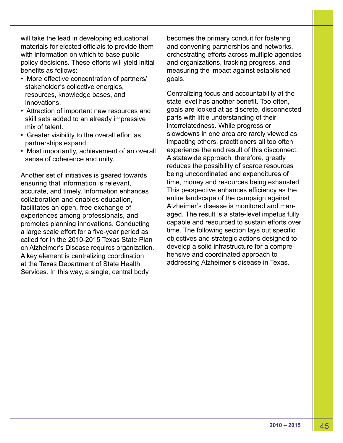will take the lead in developing educational materials for elected officials to provide them with information on which to base public policy decisions. These efforts will yield initial benefits as follows:

- More effective concentration of partners/ stakeholder's collective energies, resources, knowledge bases, and innovations.
- Attraction of important new resources and skill sets added to an already impressive mix of talent.
- Greater visibility to the overall effort as partnerships expand.
- Most importantly, achievement of an overall sense of coherence and unity.

Another set of initiatives is geared towards ensuring that information is relevant, accurate, and timely. Information enhances collaboration and enables education, facilitates an open, free exchange of experiences among professionals, and promotes planning innovations. Conducting a large scale effort for a five-year period as called for in the 2010-2015 Texas State Plan on Alzheimer's Disease requires organization. A key element is centralizing coordination at the Texas Department of State Health Services. In this way, a single, central body

becomes the primary conduit for fostering and convening partnerships and networks, orchestrating efforts across multiple agencies and organizations, tracking progress, and measuring the impact against established goals.

Centralizing focus and accountability at the state level has another benefit. Too often, goals are looked at as discrete, disconnected parts with little understanding of their interrelatedness. While progress or slowdowns in one area are rarely viewed as impacting others, practitioners all too often experience the end result of this disconnect. A statewide approach, therefore, greatly reduces the possibility of scarce resources being uncoordinated and expenditures of time, money and resources being exhausted. This perspective enhances efficiency as the entire landscape of the campaign against Alzheimer's disease is monitored and managed. The result is a state-level impetus fully capable and resourced to sustain efforts over time. The following section lays out specific objectives and strategic actions designed to develop a solid infrastructure for a comprehensive and coordinated approach to addressing Alzheimer's disease in Texas.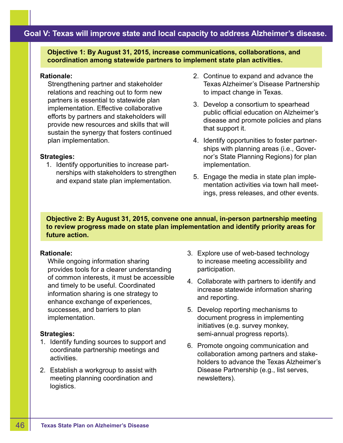# **Goal V: Texas will improve state and local capacity to address Alzheimer's disease.**

**Objective 1: By August 31, 2015, increase communications, collaborations, and coordination among statewide partners to implement state plan activities.**

#### **Rationale:**

Strengthening partner and stakeholder relations and reaching out to form new partners is essential to statewide plan implementation. Effective collaborative efforts by partners and stakeholders will provide new resources and skills that will sustain the synergy that fosters continued plan implementation.

## **Strategies:**

1. Identify opportunities to increase partnerships with stakeholders to strengthen and expand state plan implementation.

- 2. Continue to expand and advance the Texas Alzheimer's Disease Partnership to impact change in Texas.
- 3. Develop a consortium to spearhead public official education on Alzheimer's disease and promote policies and plans that support it.
- 4. Identify opportunities to foster partnerships with planning areas (i.e., Governor's State Planning Regions) for plan implementation.
- 5. Engage the media in state plan implementation activities via town hall meetings, press releases, and other events.

**Objective 2: By August 31, 2015, convene one annual, in-person partnership meeting to review progress made on state plan implementation and identify priority areas for future action.**

# **Rationale:**

While ongoing information sharing provides tools for a clearer understanding of common interests, it must be accessible and timely to be useful. Coordinated information sharing is one strategy to enhance exchange of experiences, successes, and barriers to plan implementation.

- 1. Identify funding sources to support and coordinate partnership meetings and activities.
- 2. Establish a workgroup to assist with meeting planning coordination and logistics.
- 3. Explore use of web-based technology to increase meeting accessibility and participation.
- 4. Collaborate with partners to identify and increase statewide information sharing and reporting.
- 5. Develop reporting mechanisms to document progress in implementing initiatives (e.g. survey monkey, semi-annual progress reports).
- 6. Promote ongoing communication and collaboration among partners and stakeholders to advance the Texas Alzheimer's Disease Partnership (e.g., list serves, newsletters).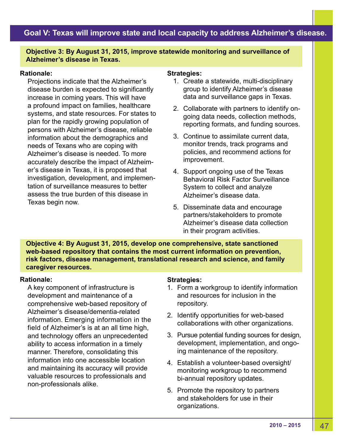# **Goal V: Texas will improve state and local capacity to address Alzheimer's disease.**

# **Objective 3: By August 31, 2015, improve statewide monitoring and surveillance of Alzheimer's disease in Texas.**

## **Rationale:**

Projections indicate that the Alzheimer's disease burden is expected to significantly increase in coming years. This will have a profound impact on families, healthcare systems, and state resources. For states to plan for the rapidly growing population of persons with Alzheimer's disease, reliable information about the demographics and needs of Texans who are coping with Alzheimer's disease is needed. To more accurately describe the impact of Alzheimer's disease in Texas, it is proposed that investigation, development, and implementation of surveillance measures to better assess the true burden of this disease in Texas begin now.

### **Strategies:**

- 1. Create a statewide, multi-disciplinary group to identify Alzheimer's disease data and surveillance gaps in Texas.
- 2. Collaborate with partners to identify ongoing data needs, collection methods, reporting formats, and funding sources.
- 3. Continue to assimilate current data, monitor trends, track programs and policies, and recommend actions for improvement.
- 4. Support ongoing use of the Texas Behavioral Risk Factor Surveillance System to collect and analyze Alzheimer's disease data.
- 5. Disseminate data and encourage partners/stakeholders to promote Alzheimer's disease data collection in their program activities.

**Objective 4: By August 31, 2015, develop one comprehensive, state sanctioned web-based repository that contains the most current information on prevention, risk factors, disease management, translational research and science, and family caregiver resources.**

## **Rationale:**

A key component of infrastructure is development and maintenance of a comprehensive web-based repository of Alzheimer's disease/dementia-related information. Emerging information in the field of Alzheimer's is at an all time high, and technology offers an unprecedented ability to access information in a timely manner. Therefore, consolidating this information into one accessible location and maintaining its accuracy will provide valuable resources to professionals and non-professionals alike.

- 1. Form a workgroup to identify information and resources for inclusion in the repository.
- 2. Identify opportunities for web-based collaborations with other organizations.
- 3. Pursue potential funding sources for design, development, implementation, and ongoing maintenance of the repository.
- 4. Establish a volunteer-based oversight/ monitoring workgroup to recommend bi-annual repository updates.
- 5. Promote the repository to partners and stakeholders for use in their organizations.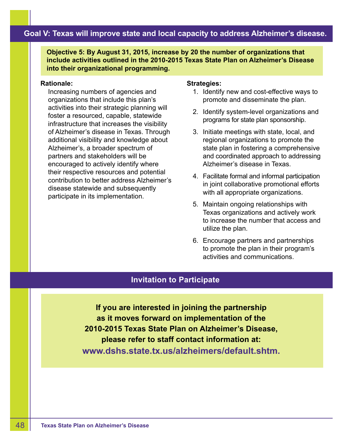# **Goal V: Texas will improve state and local capacity to address Alzheimer's disease.**

**Objective 5: By August 31, 2015, increase by 20 the number of organizations that include activities outlined in the 2010-2015 Texas State Plan on Alzheimer's Disease into their organizational programming.**

### **Rationale:**

Increasing numbers of agencies and organizations that include this plan's activities into their strategic planning will foster a resourced, capable, statewide infrastructure that increases the visibility of Alzheimer's disease in Texas. Through additional visibility and knowledge about Alzheimer's, a broader spectrum of partners and stakeholders will be encouraged to actively identify where their respective resources and potential contribution to better address Alzheimer's disease statewide and subsequently participate in its implementation.

## **Strategies:**

- 1. Identify new and cost-effective ways to promote and disseminate the plan.
- 2. Identify system-level organizations and programs for state plan sponsorship.
- 3. Initiate meetings with state, local, and regional organizations to promote the state plan in fostering a comprehensive and coordinated approach to addressing Alzheimer's disease in Texas.
- 4. Facilitate formal and informal participation in joint collaborative promotional efforts with all appropriate organizations.
- 5. Maintain ongoing relationships with Texas organizations and actively work to increase the number that access and utilize the plan.
- 6. Encourage partners and partnerships to promote the plan in their program's activities and communications.

# **Invitation to Participate**

**If you are interested in joining the partnership as it moves forward on implementation of the 2010-2015 Texas State Plan on Alzheimer's Disease, please refer to staff contact information at: www.dshs.state.tx.us/alzheimers/default.shtm.**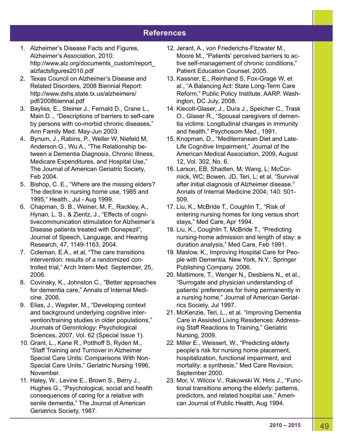# **References**

- 1. Alzheimer's Disease Facts and Figures, Alzheimer's Association, 2010: http://www.alz.org/documents\_custom/report\_ alzfactsfigures2010.pdf
- 2. Texas Council on Alzheimer's Disease and Related Disorders, 2008 Biennial Report: http://www.dshs.state.tx.us/alzheimers/ pdf/2008biennal.pdf
- 3. Bayliss, E., Steiner J., Fernald D., Crane L., Main D.., "Descriptions of barriers to self-care by persons with co-morbid chronic diseases," Ann Family Med. May-Jun 2003.
- 4. Bynum, J., Rabins, P., Weller W, Niefeld M, Anderson G., Wu A., "The Relationship between a Dementia Diagnosis, Chronic Illness, Medicare Expenditures, and Hospital Use," The Journal of American Geriatric Society, Feb 2004.
- 5. Bishop, C. E., "Where are the missing elders? The decline in nursing home use, 1985 and 1995," Health., Jul - Aug 1999.
- 6. Chapman, S. B., Weiner, M. F., Rackley, A., Hynan, L. S., & Zientz, J., "Effects of cognitivecommunication stimulation for Alzheimer's Disease patients treated with Donepezil", Journal of Speech, Language, and Hearing Research, 47, 1149-1163, 2004.
- 7. Coleman, E.A., et al, "The care transitions intervention: results of a randomized controlled trial," Arch Intern Med. September, 25, 2006.
- 8. Covinsky, K., Johnston C., "Better approaches for dementia care," Annals of Internal Medicine. 2006.
- 9. Elias, J., Wagster, M., "Developing context and background underlying cognitive intervention/training studies in older populations," Journals of Gerontology: Psychological Sciences, 2007, Vol. 62 (Special Issue 1).
- 10. Grant, L., Kane R., Potthoff S, Ryden M., "Staff Training and Turnover in Alzheimer Special Care Units: Comparisons With Non-Special Care Units," Geriatric Nursing 1996, November.
- 11. Haley, W., Levine E., Brown S., Berry J., Hughes G., "Psychological, social and health consequences of caring for a relative with senile dementia," The Journal of American Geriatrics Society, 1987.
- 12. Jerant, A., von Friederichs-Fitzwater M., Moore M., "Patients' perceived barriers to active self-management of chronic conditions," Patient Education Counsel, 2005.
- 13. Kassner, E., Reinhand S, Fox-Grage W, et al., "A Balancing Act: State Long-Term Care Reform," Public Policy Institute, AARP. Washington, DC July, 2008.
- 14. Kiecolt-Glaser, J., Dura J., Speicher C., Trask O., Glaser R., "Spousal caregivers of dementia victims: Longitudinal changes in immunity and health," Psychosom Med., 1991.
- 15. Knopman, D., "Mediterranean Diet and Late-Life Cognitive Impairment," Journal of the American Medical Association, 2009, August 12, Vol. 302, No. 6.
- 16. Larson, EB; Shadlen, M; Wang, L; McCormick, WC; Bowen, JD, Teri, L; et al. "Survival after initial diagnosis of Alzheimer disease." Annals of Internal Medicine 2004; 140: 501- 509.
- 17. Liu, K., McBride T., Coughlin T., "Risk of entering nursing homes for long versus short stays," Med Care, Apr 1994.
- 18. Liu, K., Coughlin T, McBride T., "Predicting nursing-home admission and length of stay: a duration analysis," Med Care, Feb 1991.
- 19. Maslow, K., Improving Hospital Care for People with Dementia. New York, N.Y.: Springer Publishing Company. 2006.
- 20. Mattimore, T., Wenger N,, Desbiens N,, et al., "Surrogate and physician understanding of patients' preferences for living permanently in a nursing home," Journal of American Geriatrics Society, Jul 1997.
- 21. McKenzie, Teri, L., et al. "Improving Dementia Care in Assisted Living Residences: Addressing Staff Reactions to Training," Geriatric Nursing, 2009.
- 22. Miller E., Weissert, W., "Predicting elderly people's risk for nursing home placement, hospitalization, functional impairment, and mortality: a synthesis," Med Care Revision, September 2000.
- 23. Mor, V, Wilcox V., Rakowski W, Hiris J., "Functional transitions among the elderly: patterns, predictors, and related hospital use," American Journal of Public Health, Aug 1994.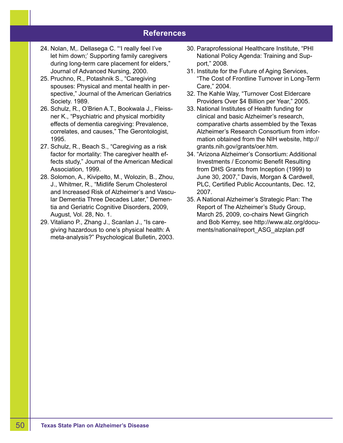# **References**

- 24. Nolan, M,. Dellasega C. "'I really feel I've let him down;' Supporting family caregivers during long-term care placement for elders," Journal of Advanced Nursing, 2000.
- 25. Pruchno, R., Potashnik S., "Caregiving spouses: Physical and mental health in perspective," Journal of the American Geriatrics Society. 1989.
- 26. Schulz, R., O'Brien A.T., Bookwala J., Fleissner K., "Psychiatric and physical morbidity effects of dementia caregiving: Prevalence, correlates, and causes," The Gerontologist, 1995.
- 27. Schulz, R., Beach S., "Caregiving as a risk factor for mortality: The caregiver health effects study," Journal of the American Medical Association, 1999.
- 28. Solomon, A., Kivipelto, M., Wolozin, B., Zhou, J., Whitmer, R., "Midlife Serum Cholesterol and Increased Risk of Alzheimer's and Vascular Dementia Three Decades Later," Dementia and Geriatric Cognitive Disorders, 2009, August, Vol. 28, No. 1.
- 29. Vitaliano P., Zhang J., Scanlan J., "Is caregiving hazardous to one's physical health: A meta-analysis?" Psychological Bulletin, 2003.
- 30. Paraprofessional Healthcare Institute, "PHI National Policy Agenda: Training and Support," 2008.
- 31. Institute for the Future of Aging Services, "The Cost of Frontline Turnover in Long-Term Care," 2004.
- 32. The Kahle Way, "Turnover Cost Eldercare Providers Over \$4 Billion per Year," 2005.
- 33. National Institutes of Health funding for clinical and basic Alzheimer's research, comparative charts assembled by the Texas Alzheimer's Research Consortium from information obtained from the NIH website, http:// grants.nih.gov/grants/oer.htm.
- 34. "Arizona Alzheimer's Consortium: Additional Investments / Economic Benefit Resulting from DHS Grants from Inception (1999) to June 30, 2007," Davis, Morgan & Cardwell, PLC, Certified Public Accountants, Dec. 12, 2007.
- 35. A National Alzheimer's Strategic Plan: The Report of The Alzheimer's Study Group, March 25, 2009, co-chairs Newt Gingrich and Bob Kerrey, see http://www.alz.org/documents/national/report\_ASG\_alzplan.pdf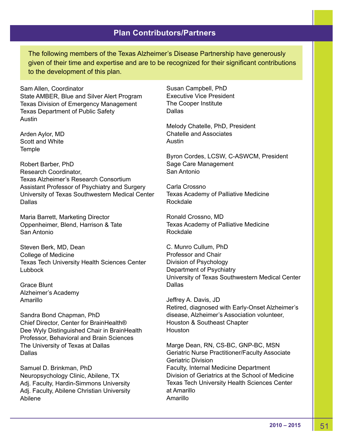The following members of the Texas Alzheimer's Disease Partnership have generously given of their time and expertise and are to be recognized for their significant contributions to the development of this plan.

Sam Allen, Coordinator State AMBER, Blue and Silver Alert Program Texas Division of Emergency Management Texas Department of Public Safety Austin

Arden Aylor, MD Scott and White **Temple** 

Robert Barber, PhD Research Coordinator, Texas Alzheimer's Research Consortium Assistant Professor of Psychiatry and Surgery University of Texas Southwestern Medical Center Dallas

Maria Barrett, Marketing Director Oppenheimer, Blend, Harrison & Tate San Antonio

Steven Berk, MD, Dean College of Medicine Texas Tech University Health Sciences Center Lubbock

Grace Blunt Alzheimer's Academy Amarillo

Sandra Bond Chapman, PhD Chief Director, Center for BrainHealth® Dee Wyly Distinguished Chair in BrainHealth Professor, Behavioral and Brain Sciences The University of Texas at Dallas Dallas

Samuel D. Brinkman, PhD Neuropsychology Clinic, Abilene, TX Adj. Faculty, Hardin-Simmons University Adj. Faculty, Abilene Christian University Abilene

Susan Campbell, PhD Executive Vice President The Cooper Institute **Dallas** 

Melody Chatelle, PhD, President Chatelle and Associates Austin

Byron Cordes, LCSW, C-ASWCM, President Sage Care Management San Antonio

Carla Crossno Texas Academy of Palliative Medicine Rockdale

Ronald Crossno, MD Texas Academy of Palliative Medicine Rockdale

C. Munro Cullum, PhD Professor and Chair Division of Psychology Department of Psychiatry University of Texas Southwestern Medical Center Dallas

Jeffrey A. Davis, JD Retired, diagnosed with Early-Onset Alzheimer's disease, Alzheimer's Association volunteer, Houston & Southeast Chapter Houston

Marge Dean, RN, CS-BC, GNP-BC, MSN Geriatric Nurse Practitioner/Faculty Associate Geriatric Division Faculty, Internal Medicine Department Division of Geriatrics at the School of Medicine Texas Tech University Health Sciences Center at Amarillo Amarillo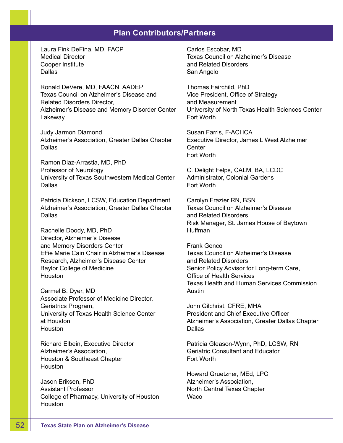Laura Fink DeFina, MD, FACP Medical Director Cooper Institute **Dallas** 

Ronald DeVere, MD, FAACN, AADEP Texas Council on Alzheimer's Disease and Related Disorders Director, Alzheimer's Disease and Memory Disorder Center Lakeway

Judy Jarmon Diamond Alzheimer's Association, Greater Dallas Chapter **Dallas** 

Ramon Diaz-Arrastia, MD, PhD Professor of Neurology University of Texas Southwestern Medical Center **Dallas** 

Patricia Dickson, LCSW, Education Department Alzheimer's Association, Greater Dallas Chapter Dallas

Rachelle Doody, MD, PhD Director, Alzheimer's Disease and Memory Disorders Center Effie Marie Cain Chair in Alzheimer's Disease Research, Alzheimer's Disease Center Baylor College of Medicine Houston

Carmel B. Dyer, MD Associate Professor of Medicine Director, Geriatrics Program, University of Texas Health Science Center at Houston **Houston** 

Richard Elbein, Executive Director Alzheimer's Association, Houston & Southeast Chapter **Houston** 

Jason Eriksen, PhD Assistant Professor College of Pharmacy, University of Houston **Houston** 

Carlos Escobar, MD Texas Council on Alzheimer's Disease and Related Disorders San Angelo

Thomas Fairchild, PhD Vice President, Office of Strategy and Measurement University of North Texas Health Sciences Center Fort Worth

Susan Farris, F-ACHCA Executive Director, James L West Alzheimer **Center** Fort Worth

C. Delight Felps, CALM, BA, LCDC Administrator, Colonial Gardens Fort Worth

Carolyn Frazier RN, BSN Texas Council on Alzheimer's Disease and Related Disorders Risk Manager, St. James House of Baytown Huffman

Frank Genco Texas Council on Alzheimer's Disease and Related Disorders Senior Policy Advisor for Long-term Care, Office of Health Services Texas Health and Human Services Commission Austin

John Gilchrist, CFRE, MHA President and Chief Executive Officer Alzheimer's Association, Greater Dallas Chapter **Dallas** 

Patricia Gleason-Wynn, PhD, LCSW, RN Geriatric Consultant and Educator Fort Worth

Howard Gruetzner, MEd, LPC Alzheimer's Association, North Central Texas Chapter Waco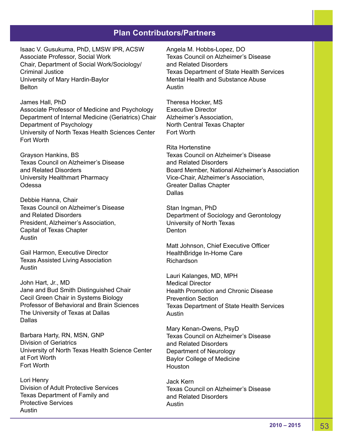Isaac V. Gusukuma, PhD, LMSW IPR, ACSW Associate Professor, Social Work Chair, Department of Social Work/Sociology/ Criminal Justice University of Mary Hardin-Baylor **Belton** 

James Hall, PhD Associate Professor of Medicine and Psychology Department of Internal Medicine (Geriatrics) Chair Department of Psychology University of North Texas Health Sciences Center Fort Worth

Grayson Hankins, BS Texas Council on Alzheimer's Disease and Related Disorders University Healthmart Pharmacy **Odessa** 

Debbie Hanna, Chair Texas Council on Alzheimer's Disease and Related Disorders President, Alzheimer's Association, Capital of Texas Chapter Austin

Gail Harmon, Executive Director Texas Assisted Living Association Austin

John Hart, Jr., MD Jane and Bud Smith Distinguished Chair Cecil Green Chair in Systems Biology Professor of Behavioral and Brain Sciences The University of Texas at Dallas Dallas

Barbara Harty, RN, MSN, GNP Division of Geriatrics University of North Texas Health Science Center at Fort Worth Fort Worth

Lori Henry Division of Adult Protective Services Texas Department of Family and Protective Services Austin

Angela M. Hobbs-Lopez, DO Texas Council on Alzheimer's Disease and Related Disorders Texas Department of State Health Services Mental Health and Substance Abuse Austin

Theresa Hocker, MS Executive Director Alzheimer's Association, North Central Texas Chapter Fort Worth

Rita Hortenstine Texas Council on Alzheimer's Disease and Related Disorders Board Member, National Alzheimer's Association Vice-Chair, Alzheimer's Association, Greater Dallas Chapter Dallas

Stan Ingman, PhD Department of Sociology and Gerontology University of North Texas **Denton** 

Matt Johnson, Chief Executive Officer HealthBridge In-Home Care Richardson

Lauri Kalanges, MD, MPH Medical Director Health Promotion and Chronic Disease Prevention Section Texas Department of State Health Services Austin

Mary Kenan-Owens, PsyD Texas Council on Alzheimer's Disease and Related Disorders Department of Neurology Baylor College of Medicine **Houston** 

Jack Kern Texas Council on Alzheimer's Disease and Related Disorders Austin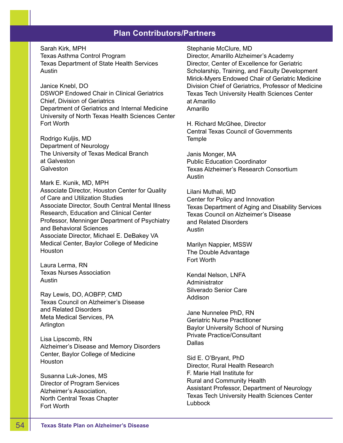Sarah Kirk, MPH Texas Asthma Control Program Texas Department of State Health Services Austin

Janice Knebl, DO DSWOP Endowed Chair in Clinical Geriatrics Chief, Division of Geriatrics Department of Geriatrics and Internal Medicine University of North Texas Health Sciences Center Fort Worth

Rodrigo Kuljis, MD Department of Neurology The University of Texas Medical Branch at Galveston **Galveston** 

Mark E. Kunik, MD, MPH Associate Director, Houston Center for Quality of Care and Utilization Studies Associate Director, South Central Mental Illness Research, Education and Clinical Center Professor, Menninger Department of Psychiatry and Behavioral Sciences Associate Director, Michael E. DeBakey VA Medical Center, Baylor College of Medicine **Houston** 

Laura Lerma, RN Texas Nurses Association Austin

Ray Lewis, DO, AOBFP, CMD Texas Council on Alzheimer's Disease and Related Disorders Meta Medical Services, PA Arlington

Lisa Lipscomb, RN Alzheimer's Disease and Memory Disorders Center, Baylor College of Medicine **Houston** 

Susanna Luk-Jones, MS Director of Program Services Alzheimer's Association, North Central Texas Chapter Fort Worth

Stephanie McClure, MD

Director, Amarillo Alzheimer's Academy Director, Center of Excellence for Geriatric Scholarship, Training, and Faculty Development Mirick-Myers Endowed Chair of Geriatric Medicine Division Chief of Geriatrics, Professor of Medicine Texas Tech University Health Sciences Center at Amarillo Amarillo

H. Richard McGhee, Director Central Texas Council of Governments **Temple** 

Janis Monger, MA Public Education Coordinator Texas Alzheimer's Research Consortium Austin

Lilani Muthali, MD Center for Policy and Innovation Texas Department of Aging and Disability Services Texas Council on Alzheimer's Disease and Related Disorders Austin

Marilyn Nappier, MSSW The Double Advantage Fort Worth

Kendal Nelson, LNFA Administrator Silverado Senior Care Addison

Jane Nunnelee PhD, RN Geriatric Nurse Practitioner Baylor University School of Nursing Private Practice/Consultant Dallas

Sid E. O'Bryant, PhD Director, Rural Health Research F. Marie Hall Institute for Rural and Community Health Assistant Professor, Department of Neurology Texas Tech University Health Sciences Center Lubbock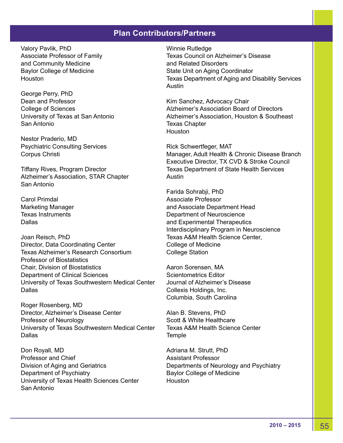Valory Pavlik, PhD Associate Professor of Family and Community Medicine Baylor College of Medicine Houston

George Perry, PhD Dean and Professor College of Sciences University of Texas at San Antonio San Antonio

Nestor Praderio, MD Psychiatric Consulting Services Corpus Christi

Tiffany Rives, Program Director Alzheimer's Association, STAR Chapter San Antonio

Carol Primdal Marketing Manager Texas Instruments Dallas

Joan Reisch, PhD Director, Data Coordinating Center Texas Alzheimer's Research Consortium Professor of Biostatistics Chair, Division of Biostatistics Department of Clinical Sciences University of Texas Southwestern Medical Center **Dallas** 

Roger Rosenberg, MD Director, Alzheimer's Disease Center Professor of Neurology University of Texas Southwestern Medical Center Dallas

Don Royall, MD Professor and Chief Division of Aging and Geriatrics Department of Psychiatry University of Texas Health Sciences Center San Antonio

Winnie Rutledge Texas Council on Alzheimer's Disease and Related Disorders State Unit on Aging Coordinator Texas Department of Aging and Disability Services Austin

Kim Sanchez, Advocacy Chair Alzheimer's Association Board of Directors Alzheimer's Association, Houston & Southeast Texas Chapter Houston

Rick Schwertfeger, MAT Manager, Adult Health & Chronic Disease Branch Executive Director, TX CVD & Stroke Council Texas Department of State Health Services Austin

Farida Sohrabji, PhD Associate Professor and Associate Department Head Department of Neuroscience and Experimental Therapeutics Interdisciplinary Program in Neuroscience Texas A&M Health Science Center, College of Medicine College Station

Aaron Sorensen, MA Scientometrics Editor Journal of Alzheimer's Disease Collexis Holdings, Inc. Columbia, South Carolina

Alan B. Stevens, PhD Scott & White Healthcare Texas A&M Health Science Center **Temple** 

Adriana M. Strutt, PhD Assistant Professor Departments of Neurology and Psychiatry Baylor College of Medicine Houston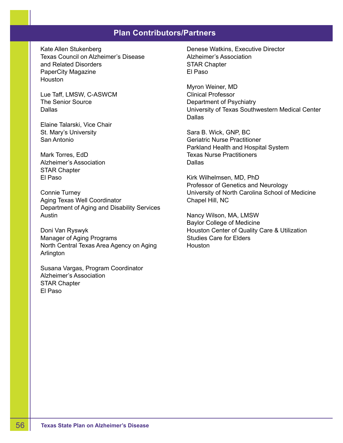Kate Allen Stukenberg Texas Council on Alzheimer's Disease and Related Disorders PaperCity Magazine **Houston** 

Lue Taff, LMSW, C-ASWCM The Senior Source Dallas

Elaine Talarski, Vice Chair St. Mary's University San Antonio

Mark Torres, EdD Alzheimer's Association STAR Chapter El Paso

Connie Turney Aging Texas Well Coordinator Department of Aging and Disability Services Austin

Doni Van Ryswyk Manager of Aging Programs North Central Texas Area Agency on Aging Arlington

Susana Vargas, Program Coordinator Alzheimer's Association STAR Chapter El Paso

Denese Watkins, Executive Director Alzheimer's Association STAR Chapter El Paso

Myron Weiner, MD Clinical Professor Department of Psychiatry University of Texas Southwestern Medical Center Dallas

Sara B. Wick, GNP, BC Geriatric Nurse Practitioner Parkland Health and Hospital System Texas Nurse Practitioners Dallas

Kirk Wilhelmsen, MD, PhD Professor of Genetics and Neurology University of North Carolina School of Medicine Chapel Hill, NC

Nancy Wilson, MA, LMSW Baylor College of Medicine Houston Center of Quality Care & Utilization Studies Care for Elders **Houston**